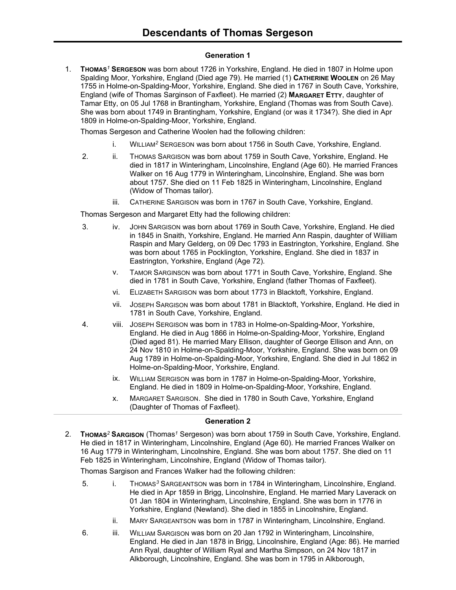### **Generation 1**

1. **THOMAS***<sup>1</sup>* **SERGESON** was born about 1726 in Yorkshire, England. He died in 1807 in Holme upon Spalding Moor, Yorkshire, England (Died age 79). He married (1) **CATHERINE WOOLEN** on 26 May 1755 in Holme-on-Spalding-Moor, Yorkshire, England. She died in 1767 in South Cave, Yorkshire, England (wife of Thomas Sarginson of Faxfleet). He married (2) **MARGARET ETTY**, daughter of Tamar Etty, on 05 Jul 1768 in Brantingham, Yorkshire, England (Thomas was from South Cave). She was born about 1749 in Brantingham, Yorkshire, England (or was it 1734?). She died in Apr 1809 in Holme-on-Spalding-Moor, Yorkshire, England.

Thomas Sergeson and Catherine Woolen had the following children:

- i. WILLIAM*<sup>2</sup>* SERGESON was born about 1756 in South Cave, Yorkshire, England.
- 2. ii. THOMAS SARGISON was born about 1759 in South Cave, Yorkshire, England. He died in 1817 in Winteringham, Lincolnshire, England (Age 60). He married Frances Walker on 16 Aug 1779 in Winteringham, Lincolnshire, England. She was born about 1757. She died on 11 Feb 1825 in Winteringham, Lincolnshire, England (Widow of Thomas tailor).
	- iii. CATHERINE SARGISON was born in 1767 in South Cave, Yorkshire, England.

Thomas Sergeson and Margaret Etty had the following children:

- 3. iv. JOHN SARGISON was born about 1769 in South Cave, Yorkshire, England. He died in 1845 in Snaith, Yorkshire, England. He married Ann Raspin, daughter of William Raspin and Mary Gelderg, on 09 Dec 1793 in Eastrington, Yorkshire, England. She was born about 1765 in Pocklington, Yorkshire, England. She died in 1837 in Eastrington, Yorkshire, England (Age 72).
	- v. TAMOR SARGINSON was born about 1771 in South Cave, Yorkshire, England. She died in 1781 in South Cave, Yorkshire, England (father Thomas of Faxfleet).
	- vi. ELIZABETH SARGISON was born about 1773 in Blacktoft, Yorkshire, England.
	- vii. JOSEPH SARGISON was born about 1781 in Blacktoft, Yorkshire, England. He died in 1781 in South Cave, Yorkshire, England.
- 4. viii. JOSEPH SERGISON was born in 1783 in Holme-on-Spalding-Moor, Yorkshire, England. He died in Aug 1866 in Holme-on-Spalding-Moor, Yorkshire, England (Died aged 81). He married Mary Ellison, daughter of George Ellison and Ann, on 24 Nov 1810 in Holme-on-Spalding-Moor, Yorkshire, England. She was born on 09 Aug 1789 in Holme-on-Spalding-Moor, Yorkshire, England. She died in Jul 1862 in Holme-on-Spalding-Moor, Yorkshire, England.
	- ix. WILLIAM SERGISON was born in 1787 in Holme-on-Spalding-Moor, Yorkshire, England. He died in 1809 in Holme-on-Spalding-Moor, Yorkshire, England.
	- x. MARGARET SARGISON. She died in 1780 in South Cave, Yorkshire, England (Daughter of Thomas of Faxfleet).

# **Generation 2**

2. **THOMAS***<sup>2</sup>* **SARGISON** (Thomas*<sup>1</sup>* Sergeson) was born about 1759 in South Cave, Yorkshire, England. He died in 1817 in Winteringham, Lincolnshire, England (Age 60). He married Frances Walker on 16 Aug 1779 in Winteringham, Lincolnshire, England. She was born about 1757. She died on 11 Feb 1825 in Winteringham, Lincolnshire, England (Widow of Thomas tailor).

Thomas Sargison and Frances Walker had the following children:

- 5. i. THOMAS*<sup>3</sup>* SARGEANTSON was born in 1784 in Winteringham, Lincolnshire, England. He died in Apr 1859 in Brigg, Lincolnshire, England. He married Mary Laverack on 01 Jan 1804 in Winteringham, Lincolnshire, England. She was born in 1776 in Yorkshire, England (Newland). She died in 1855 in Lincolnshire, England.
	- ii. MARY SARGEANTSON was born in 1787 in Winteringham, Lincolnshire, England.
- 6. iii. WILLIAM SARGISON was born on 20 Jan 1792 in Winteringham, Lincolnshire, England. He died in Jan 1878 in Brigg, Lincolnshire, England (Age: 86). He married Ann Ryal, daughter of William Ryal and Martha Simpson, on 24 Nov 1817 in Alkborough, Lincolnshire, England. She was born in 1795 in Alkborough,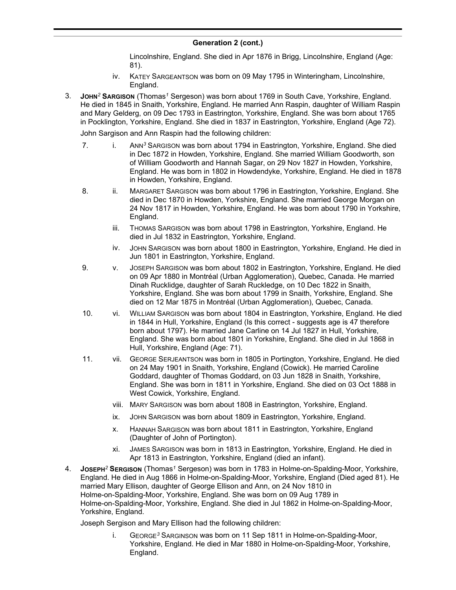Lincolnshire, England. She died in Apr 1876 in Brigg, Lincolnshire, England (Age: 81).

- iv. KATEY SARGEANTSON was born on 09 May 1795 in Winteringham, Lincolnshire, England.
- 3. **JOHN***<sup>2</sup>* **SARGISON** (Thomas*<sup>1</sup>* Sergeson) was born about 1769 in South Cave, Yorkshire, England. He died in 1845 in Snaith, Yorkshire, England. He married Ann Raspin, daughter of William Raspin and Mary Gelderg, on 09 Dec 1793 in Eastrington, Yorkshire, England. She was born about 1765 in Pocklington, Yorkshire, England. She died in 1837 in Eastrington, Yorkshire, England (Age 72).

John Sargison and Ann Raspin had the following children:

- 7. i. ANN<sup>3</sup> SARGISON was born about 1794 in Eastrington, Yorkshire, England. She died in Dec 1872 in Howden, Yorkshire, England. She married William Goodworth, son of William Goodworth and Hannah Sagar, on 29 Nov 1827 in Howden, Yorkshire, England. He was born in 1802 in Howdendyke, Yorkshire, England. He died in 1878 in Howden, Yorkshire, England.
- 8. ii. MARGARET SARGISON was born about 1796 in Eastrington, Yorkshire, England. She died in Dec 1870 in Howden, Yorkshire, England. She married George Morgan on 24 Nov 1817 in Howden, Yorkshire, England. He was born about 1790 in Yorkshire, England.
	- iii. THOMAS SARGISON was born about 1798 in Eastrington, Yorkshire, England. He died in Jul 1832 in Eastrington, Yorkshire, England.
	- iv. JOHN SARGISON was born about 1800 in Eastrington, Yorkshire, England. He died in Jun 1801 in Eastrington, Yorkshire, England.
- 9. v. JOSEPH SARGISON was born about 1802 in Eastrington, Yorkshire, England. He died on 09 Apr 1880 in Montréal (Urban Agglomeration), Quebec, Canada. He married Dinah Rucklidge, daughter of Sarah Ruckledge, on 10 Dec 1822 in Snaith, Yorkshire, England. She was born about 1799 in Snaith, Yorkshire, England. She died on 12 Mar 1875 in Montréal (Urban Agglomeration), Quebec, Canada.
- 10. vi. WILLIAM SARGISON was born about 1804 in Eastrington, Yorkshire, England. He died in 1844 in Hull, Yorkshire, England (Is this correct - suggests age is 47 therefore born about 1797). He married Jane Carline on 14 Jul 1827 in Hull, Yorkshire, England. She was born about 1801 in Yorkshire, England. She died in Jul 1868 in Hull, Yorkshire, England (Age: 71).
- 11. vii. GEORGE SERJEANTSON was born in 1805 in Portington, Yorkshire, England. He died on 24 May 1901 in Snaith, Yorkshire, England (Cowick). He married Caroline Goddard, daughter of Thomas Goddard, on 03 Jun 1828 in Snaith, Yorkshire, England. She was born in 1811 in Yorkshire, England. She died on 03 Oct 1888 in West Cowick, Yorkshire, England.
	- viii. MARY SARGISON was born about 1808 in Eastrington, Yorkshire, England.
	- ix. JOHN SARGISON was born about 1809 in Eastrington, Yorkshire, England.
	- x. HANNAH SARGISON was born about 1811 in Eastrington, Yorkshire, England (Daughter of John of Portington).
	- xi. JAMES SARGISON was born in 1813 in Eastrington, Yorkshire, England. He died in Apr 1813 in Eastrington, Yorkshire, England (died an infant).
- 4. **JOSEPH***<sup>2</sup>* **SERGISON** (Thomas*<sup>1</sup>* Sergeson) was born in 1783 in Holme-on-Spalding-Moor, Yorkshire, England. He died in Aug 1866 in Holme-on-Spalding-Moor, Yorkshire, England (Died aged 81). He married Mary Ellison, daughter of George Ellison and Ann, on 24 Nov 1810 in Holme-on-Spalding-Moor, Yorkshire, England. She was born on 09 Aug 1789 in Holme-on-Spalding-Moor, Yorkshire, England. She died in Jul 1862 in Holme-on-Spalding-Moor, Yorkshire, England.

Joseph Sergison and Mary Ellison had the following children:

i. GEORGE*<sup>3</sup>* SARGINSON was born on 11 Sep 1811 in Holme-on-Spalding-Moor, Yorkshire, England. He died in Mar 1880 in Holme-on-Spalding-Moor, Yorkshire, England.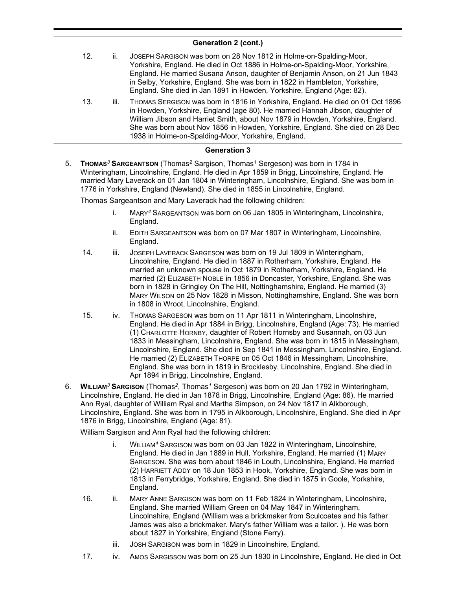- 12. ii. JOSEPH SARGISON was born on 28 Nov 1812 in Holme-on-Spalding-Moor, Yorkshire, England. He died in Oct 1886 in Holme-on-Spalding-Moor, Yorkshire, England. He married Susana Anson, daughter of Benjamin Anson, on 21 Jun 1843 in Selby, Yorkshire, England. She was born in 1822 in Hambleton, Yorkshire, England. She died in Jan 1891 in Howden, Yorkshire, England (Age: 82).
- 13. iii. THOMAS SERGISON was born in 1816 in Yorkshire, England. He died on 01 Oct 1896 in Howden, Yorkshire, England (age 80). He married Hannah Jibson, daughter of William Jibson and Harriet Smith, about Nov 1879 in Howden, Yorkshire, England. She was born about Nov 1856 in Howden, Yorkshire, England. She died on 28 Dec 1938 in Holme-on-Spalding-Moor, Yorkshire, England.

### **Generation 3**

5. **THOMAS***<sup>3</sup>* **SARGEANTSON** (Thomas*<sup>2</sup>* Sargison, Thomas*<sup>1</sup>* Sergeson) was born in 1784 in Winteringham, Lincolnshire, England. He died in Apr 1859 in Brigg, Lincolnshire, England. He married Mary Laverack on 01 Jan 1804 in Winteringham, Lincolnshire, England. She was born in 1776 in Yorkshire, England (Newland). She died in 1855 in Lincolnshire, England.

Thomas Sargeantson and Mary Laverack had the following children:

- i. MARY*<sup>4</sup>* SARGEANTSON was born on 06 Jan 1805 in Winteringham, Lincolnshire, England.
- ii. EDITH SARGEANTSON was born on 07 Mar 1807 in Winteringham, Lincolnshire, England.
- 14. iii. JOSEPH LAVERACK SARGESON was born on 19 Jul 1809 in Winteringham, Lincolnshire, England. He died in 1887 in Rotherham, Yorkshire, England. He married an unknown spouse in Oct 1879 in Rotherham, Yorkshire, England. He married (2) ELIZABETH NOBLE in 1856 in Doncaster, Yorkshire, England. She was born in 1828 in Gringley On The Hill, Nottinghamshire, England. He married (3) MARY WILSON on 25 Nov 1828 in Misson, Nottinghamshire, England. She was born in 1808 in Wroot, Lincolnshire, England.
- 15. iv. THOMAS SARGESON was born on 11 Apr 1811 in Winteringham, Lincolnshire, England. He died in Apr 1884 in Brigg, Lincolnshire, England (Age: 73). He married (1) CHARLOTTE HORNBY, daughter of Robert Hornsby and Susannah, on 03 Jun 1833 in Messingham, Lincolnshire, England. She was born in 1815 in Messingham, Lincolnshire, England. She died in Sep 1841 in Messingham, Lincolnshire, England. He married (2) ELIZABETH THORPE on 05 Oct 1846 in Messingham, Lincolnshire, England. She was born in 1819 in Brocklesby, Lincolnshire, England. She died in Apr 1894 in Brigg, Lincolnshire, England.
- 6. **WILLIAM***<sup>3</sup>* **SARGISON** (Thomas*<sup>2</sup>* , Thomas*<sup>1</sup>* Sergeson) was born on 20 Jan 1792 in Winteringham, Lincolnshire, England. He died in Jan 1878 in Brigg, Lincolnshire, England (Age: 86). He married Ann Ryal, daughter of William Ryal and Martha Simpson, on 24 Nov 1817 in Alkborough, Lincolnshire, England. She was born in 1795 in Alkborough, Lincolnshire, England. She died in Apr 1876 in Brigg, Lincolnshire, England (Age: 81).

William Sargison and Ann Ryal had the following children:

- i. WILLIAM*<sup>4</sup>* SARGISON was born on 03 Jan 1822 in Winteringham, Lincolnshire, England. He died in Jan 1889 in Hull, Yorkshire, England. He married (1) MARY SARGESON. She was born about 1846 in Louth, Lincolnshire, England. He married (2) HARRIETT ADDY on 18 Jun 1853 in Hook, Yorkshire, England. She was born in 1813 in Ferrybridge, Yorkshire, England. She died in 1875 in Goole, Yorkshire, England.
- 16. ii. MARY ANNE SARGISON was born on 11 Feb 1824 in Winteringham, Lincolnshire, England. She married William Green on 04 May 1847 in Winteringham, Lincolnshire, England (William was a brickmaker from Sculcoates and his father James was also a brickmaker. Mary's father William was a tailor. ). He was born about 1827 in Yorkshire, England (Stone Ferry).
	- iii. JOSH SARGISON was born in 1829 in Lincolnshire, England.
- 17. iv. AMOS SARGISSON was born on 25 Jun 1830 in Lincolnshire, England. He died in Oct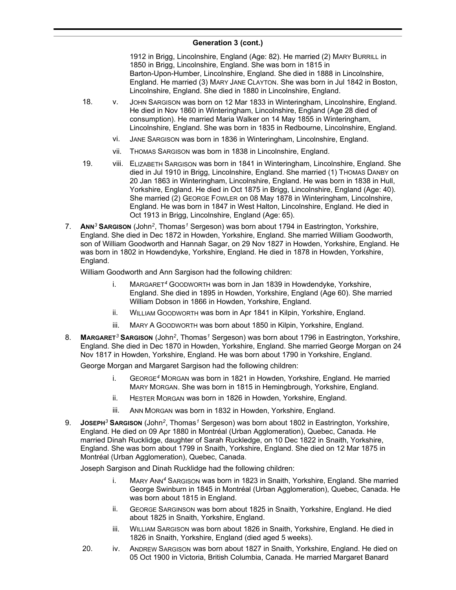1912 in Brigg, Lincolnshire, England (Age: 82). He married (2) MARY BURRILL in 1850 in Brigg, Lincolnshire, England. She was born in 1815 in Barton-Upon-Humber, Lincolnshire, England. She died in 1888 in Lincolnshire, England. He married (3) MARY JANE CLAYTON. She was born in Jul 1842 in Boston, Lincolnshire, England. She died in 1880 in Lincolnshire, England.

- 18. v. JOHN SARGISON was born on 12 Mar 1833 in Winteringham, Lincolnshire, England. He died in Nov 1860 in Winteringham, Lincolnshire, England (Age 28 died of consumption). He married Maria Walker on 14 May 1855 in Winteringham, Lincolnshire, England. She was born in 1835 in Redbourne, Lincolnshire, England.
	- vi. JANE SARGISON was born in 1836 in Winteringham, Lincolnshire, England.
	- vii. THOMAS SARGISON was born in 1838 in Lincolnshire, England.
- 19. viii. ELIZABETH SARGISON was born in 1841 in Winteringham, Lincolnshire, England. She died in Jul 1910 in Brigg, Lincolnshire, England. She married (1) THOMAS DANBY on 20 Jan 1863 in Winteringham, Lincolnshire, England. He was born in 1838 in Hull, Yorkshire, England. He died in Oct 1875 in Brigg, Lincolnshire, England (Age: 40). She married (2) GEORGE FOWLER on 08 May 1878 in Winteringham, Lincolnshire, England. He was born in 1847 in West Halton, Lincolnshire, England. He died in Oct 1913 in Brigg, Lincolnshire, England (Age: 65).
- 7. **ANN***<sup>3</sup>* **SARGISON** (John*<sup>2</sup>* , Thomas*<sup>1</sup>* Sergeson) was born about 1794 in Eastrington, Yorkshire, England. She died in Dec 1872 in Howden, Yorkshire, England. She married William Goodworth, son of William Goodworth and Hannah Sagar, on 29 Nov 1827 in Howden, Yorkshire, England. He was born in 1802 in Howdendyke, Yorkshire, England. He died in 1878 in Howden, Yorkshire, England.

William Goodworth and Ann Sargison had the following children:

- i. MARGARET*<sup>4</sup>* GOODWORTH was born in Jan 1839 in Howdendyke, Yorkshire, England. She died in 1895 in Howden, Yorkshire, England (Age 60). She married William Dobson in 1866 in Howden, Yorkshire, England.
- ii. WILLIAM GOODWORTH was born in Apr 1841 in Kilpin, Yorkshire, England.
- iii. MARY A GOODWORTH was born about 1850 in Kilpin, Yorkshire, England.
- 8. **MARGARET***<sup>3</sup>* **SARGISON** (John*<sup>2</sup>* , Thomas*<sup>1</sup>* Sergeson) was born about 1796 in Eastrington, Yorkshire, England. She died in Dec 1870 in Howden, Yorkshire, England. She married George Morgan on 24 Nov 1817 in Howden, Yorkshire, England. He was born about 1790 in Yorkshire, England.

George Morgan and Margaret Sargison had the following children:

- i. GEORGE*<sup>4</sup>* MORGAN was born in 1821 in Howden, Yorkshire, England. He married MARY MORGAN. She was born in 1815 in Hemingbrough, Yorkshire, England.
- ii. HESTER MORGAN was born in 1826 in Howden, Yorkshire, England.
- iii. ANN MORGAN was born in 1832 in Howden, Yorkshire, England.
- 9. **JOSEPH***<sup>3</sup>* **SARGISON** (John*<sup>2</sup>* , Thomas*<sup>1</sup>* Sergeson) was born about 1802 in Eastrington, Yorkshire, England. He died on 09 Apr 1880 in Montréal (Urban Agglomeration), Quebec, Canada. He married Dinah Rucklidge, daughter of Sarah Ruckledge, on 10 Dec 1822 in Snaith, Yorkshire, England. She was born about 1799 in Snaith, Yorkshire, England. She died on 12 Mar 1875 in Montréal (Urban Agglomeration), Quebec, Canada.

Joseph Sargison and Dinah Rucklidge had the following children:

- i. MARY ANN*<sup>4</sup>* SARGISON was born in 1823 in Snaith, Yorkshire, England. She married George Swinburn in 1845 in Montréal (Urban Agglomeration), Quebec, Canada. He was born about 1815 in England.
- ii. GEORGE SARGINSON was born about 1825 in Snaith, Yorkshire, England. He died about 1825 in Snaith, Yorkshire, England.
- iii. WILLIAM SARGISON was born about 1826 in Snaith, Yorkshire, England. He died in 1826 in Snaith, Yorkshire, England (died aged 5 weeks).
- 20. iv. ANDREW SARGISON was born about 1827 in Snaith, Yorkshire, England. He died on 05 Oct 1900 in Victoria, British Columbia, Canada. He married Margaret Banard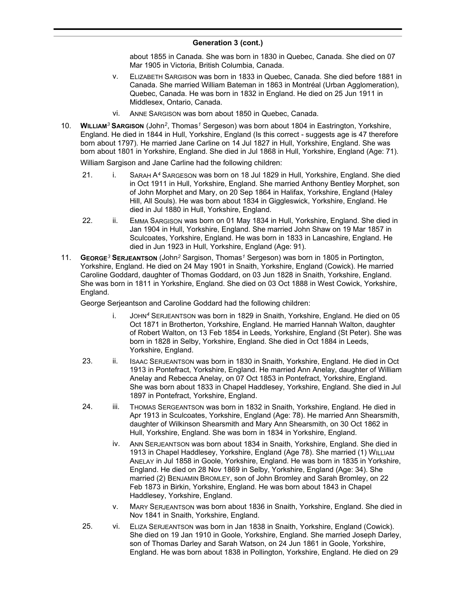about 1855 in Canada. She was born in 1830 in Quebec, Canada. She died on 07 Mar 1905 in Victoria, British Columbia, Canada.

- v. ELIZABETH SARGISON was born in 1833 in Quebec, Canada. She died before 1881 in Canada. She married William Bateman in 1863 in Montréal (Urban Agglomeration), Quebec, Canada. He was born in 1832 in England. He died on 25 Jun 1911 in Middlesex, Ontario, Canada.
- vi. ANNE SARGISON was born about 1850 in Quebec, Canada.
- 10. **WILLIAM***<sup>3</sup>* **SARGISON** (John*<sup>2</sup>* , Thomas*<sup>1</sup>* Sergeson) was born about 1804 in Eastrington, Yorkshire, England. He died in 1844 in Hull, Yorkshire, England (Is this correct - suggests age is 47 therefore born about 1797). He married Jane Carline on 14 Jul 1827 in Hull, Yorkshire, England. She was born about 1801 in Yorkshire, England. She died in Jul 1868 in Hull, Yorkshire, England (Age: 71). William Sargison and Jane Carline had the following children:
	- 21. i. SARAH A*<sup>4</sup>* SARGESON was born on 18 Jul 1829 in Hull, Yorkshire, England. She died in Oct 1911 in Hull, Yorkshire, England. She married Anthony Bentley Morphet, son of John Morphet and Mary, on 20 Sep 1864 in Halifax, Yorkshire, England (Haley Hill, All Souls). He was born about 1834 in Giggleswick, Yorkshire, England. He died in Jul 1880 in Hull, Yorkshire, England.
	- 22. ii. EMMA SARGISON was born on 01 May 1834 in Hull, Yorkshire, England. She died in Jan 1904 in Hull, Yorkshire, England. She married John Shaw on 19 Mar 1857 in Sculcoates, Yorkshire, England. He was born in 1833 in Lancashire, England. He died in Jun 1923 in Hull, Yorkshire, England (Age: 91).
- 11. **GEORGE***<sup>3</sup>* **SERJEANTSON** (John*<sup>2</sup>* Sargison, Thomas*<sup>1</sup>* Sergeson) was born in 1805 in Portington, Yorkshire, England. He died on 24 May 1901 in Snaith, Yorkshire, England (Cowick). He married Caroline Goddard, daughter of Thomas Goddard, on 03 Jun 1828 in Snaith, Yorkshire, England. She was born in 1811 in Yorkshire, England. She died on 03 Oct 1888 in West Cowick, Yorkshire, England.

George Serjeantson and Caroline Goddard had the following children:

- i. JOHN*<sup>4</sup>* SERJEANTSON was born in 1829 in Snaith, Yorkshire, England. He died on 05 Oct 1871 in Brotherton, Yorkshire, England. He married Hannah Walton, daughter of Robert Walton, on 13 Feb 1854 in Leeds, Yorkshire, England (St Peter). She was born in 1828 in Selby, Yorkshire, England. She died in Oct 1884 in Leeds, Yorkshire, England.
- 23. ii. ISAAC SERJEANTSON was born in 1830 in Snaith, Yorkshire, England. He died in Oct 1913 in Pontefract, Yorkshire, England. He married Ann Anelay, daughter of William Anelay and Rebecca Anelay, on 07 Oct 1853 in Pontefract, Yorkshire, England. She was born about 1833 in Chapel Haddlesey, Yorkshire, England. She died in Jul 1897 in Pontefract, Yorkshire, England.
- 24. iii. THOMAS SERGEANTSON was born in 1832 in Snaith, Yorkshire, England. He died in Apr 1913 in Sculcoates, Yorkshire, England (Age: 78). He married Ann Shearsmith, daughter of Wilkinson Shearsmith and Mary Ann Shearsmith, on 30 Oct 1862 in Hull, Yorkshire, England. She was born in 1834 in Yorkshire, England.
	- iv. ANN SERJEANTSON was born about 1834 in Snaith, Yorkshire, England. She died in 1913 in Chapel Haddlesey, Yorkshire, England (Age 78). She married (1) WILLIAM ANELAY in Jul 1858 in Goole, Yorkshire, England. He was born in 1835 in Yorkshire, England. He died on 28 Nov 1869 in Selby, Yorkshire, England (Age: 34). She married (2) BENJAMIN BROMLEY, son of John Bromley and Sarah Bromley, on 22 Feb 1873 in Birkin, Yorkshire, England. He was born about 1843 in Chapel Haddlesey, Yorkshire, England.
	- v. MARY SERJEANTSON was born about 1836 in Snaith, Yorkshire, England. She died in Nov 1841 in Snaith, Yorkshire, England.
- 25. vi. ELIZA SERJEANTSON was born in Jan 1838 in Snaith, Yorkshire, England (Cowick). She died on 19 Jan 1910 in Goole, Yorkshire, England. She married Joseph Darley, son of Thomas Darley and Sarah Watson, on 24 Jun 1861 in Goole, Yorkshire, England. He was born about 1838 in Pollington, Yorkshire, England. He died on 29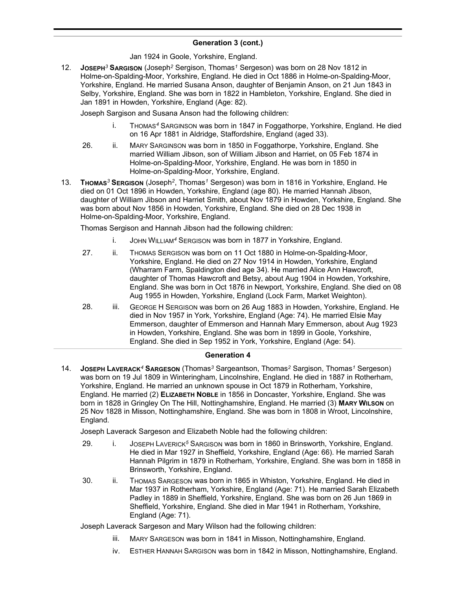Jan 1924 in Goole, Yorkshire, England.

12. **JOSEPH***<sup>3</sup>* **SARGISON** (Joseph*<sup>2</sup>* Sergison, Thomas*<sup>1</sup>* Sergeson) was born on 28 Nov 1812 in Holme-on-Spalding-Moor, Yorkshire, England. He died in Oct 1886 in Holme-on-Spalding-Moor, Yorkshire, England. He married Susana Anson, daughter of Benjamin Anson, on 21 Jun 1843 in Selby, Yorkshire, England. She was born in 1822 in Hambleton, Yorkshire, England. She died in Jan 1891 in Howden, Yorkshire, England (Age: 82).

Joseph Sargison and Susana Anson had the following children:

- i. THOMAS*<sup>4</sup>* SARGINSON was born in 1847 in Foggathorpe, Yorkshire, England. He died on 16 Apr 1881 in Aldridge, Staffordshire, England (aged 33).
- 26. ii. MARY SARGINSON was born in 1850 in Foggathorpe, Yorkshire, England. She married William Jibson, son of William Jibson and Harriet, on 05 Feb 1874 in Holme-on-Spalding-Moor, Yorkshire, England. He was born in 1850 in Holme-on-Spalding-Moor, Yorkshire, England.
- 13. **THOMAS***<sup>3</sup>* **SERGISON** (Joseph*<sup>2</sup>* , Thomas*<sup>1</sup>* Sergeson) was born in 1816 in Yorkshire, England. He died on 01 Oct 1896 in Howden, Yorkshire, England (age 80). He married Hannah Jibson, daughter of William Jibson and Harriet Smith, about Nov 1879 in Howden, Yorkshire, England. She was born about Nov 1856 in Howden, Yorkshire, England. She died on 28 Dec 1938 in Holme-on-Spalding-Moor, Yorkshire, England.

Thomas Sergison and Hannah Jibson had the following children:

- i. JOHN WILLIAM*<sup>4</sup>* SERGISON was born in 1877 in Yorkshire, England.
- 27. ii. THOMAS SERGISON was born on 11 Oct 1880 in Holme-on-Spalding-Moor, Yorkshire, England. He died on 27 Nov 1914 in Howden, Yorkshire, England (Wharram Farm, Spaldington died age 34). He married Alice Ann Hawcroft, daughter of Thomas Hawcroft and Betsy, about Aug 1904 in Howden, Yorkshire, England. She was born in Oct 1876 in Newport, Yorkshire, England. She died on 08 Aug 1955 in Howden, Yorkshire, England (Lock Farm, Market Weighton).
- 28. iii. GEORGE H SERGISON was born on 26 Aug 1883 in Howden, Yorkshire, England. He died in Nov 1957 in York, Yorkshire, England (Age: 74). He married Elsie May Emmerson, daughter of Emmerson and Hannah Mary Emmerson, about Aug 1923 in Howden, Yorkshire, England. She was born in 1899 in Goole, Yorkshire, England. She died in Sep 1952 in York, Yorkshire, England (Age: 54).

### **Generation 4**

14. **JOSEPH LAVERACK***<sup>4</sup>* **SARGESON** (Thomas*<sup>3</sup>* Sargeantson, Thomas*<sup>2</sup>* Sargison, Thomas*<sup>1</sup>* Sergeson) was born on 19 Jul 1809 in Winteringham, Lincolnshire, England. He died in 1887 in Rotherham, Yorkshire, England. He married an unknown spouse in Oct 1879 in Rotherham, Yorkshire, England. He married (2) **ELIZABETH NOBLE** in 1856 in Doncaster, Yorkshire, England. She was born in 1828 in Gringley On The Hill, Nottinghamshire, England. He married (3) **MARY WILSON** on 25 Nov 1828 in Misson, Nottinghamshire, England. She was born in 1808 in Wroot, Lincolnshire, England.

Joseph Laverack Sargeson and Elizabeth Noble had the following children:

- 29. i. JOSEPH LAVERICK*<sup>5</sup>* SARGISON was born in 1860 in Brinsworth, Yorkshire, England. He died in Mar 1927 in Sheffield, Yorkshire, England (Age: 66). He married Sarah Hannah Pilgrim in 1879 in Rotherham, Yorkshire, England. She was born in 1858 in Brinsworth, Yorkshire, England.
- 30. ii. THOMAS SARGESON was born in 1865 in Whiston, Yorkshire, England. He died in Mar 1937 in Rotherham, Yorkshire, England (Age: 71). He married Sarah Elizabeth Padley in 1889 in Sheffield, Yorkshire, England. She was born on 26 Jun 1869 in Sheffield, Yorkshire, England. She died in Mar 1941 in Rotherham, Yorkshire, England (Age: 71).

Joseph Laverack Sargeson and Mary Wilson had the following children:

- iii. MARY SARGESON was born in 1841 in Misson, Nottinghamshire, England.
- iv. ESTHER HANNAH SARGISON was born in 1842 in Misson, Nottinghamshire, England.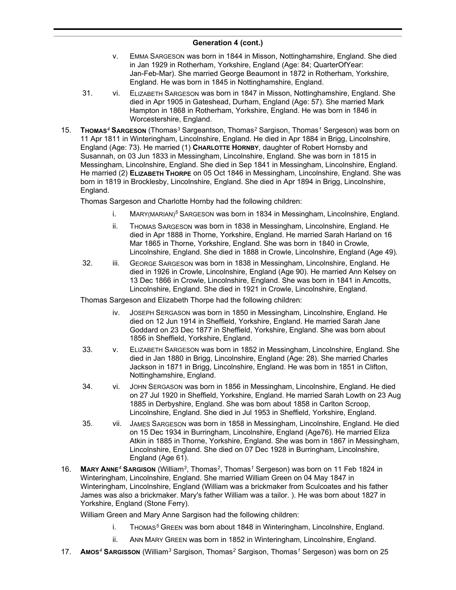- v. EMMA SARGESON was born in 1844 in Misson, Nottinghamshire, England. She died in Jan 1929 in Rotherham, Yorkshire, England (Age: 84; QuarterOfYear: Jan-Feb-Mar). She married George Beaumont in 1872 in Rotherham, Yorkshire, England. He was born in 1845 in Nottinghamshire, England.
- 31. vi. ELIZABETH SARGESON was born in 1847 in Misson, Nottinghamshire, England. She died in Apr 1905 in Gateshead, Durham, England (Age: 57). She married Mark Hampton in 1868 in Rotherham, Yorkshire, England. He was born in 1846 in Worcestershire, England.
- 15. **THOMAS***<sup>4</sup>* **SARGESON** (Thomas*<sup>3</sup>* Sargeantson, Thomas*<sup>2</sup>* Sargison, Thomas*<sup>1</sup>* Sergeson) was born on 11 Apr 1811 in Winteringham, Lincolnshire, England. He died in Apr 1884 in Brigg, Lincolnshire, England (Age: 73). He married (1) **CHARLOTTE HORNBY**, daughter of Robert Hornsby and Susannah, on 03 Jun 1833 in Messingham, Lincolnshire, England. She was born in 1815 in Messingham, Lincolnshire, England. She died in Sep 1841 in Messingham, Lincolnshire, England. He married (2) **ELIZABETH THORPE** on 05 Oct 1846 in Messingham, Lincolnshire, England. She was born in 1819 in Brocklesby, Lincolnshire, England. She died in Apr 1894 in Brigg, Lincolnshire, England.

Thomas Sargeson and Charlotte Hornby had the following children:

- i. MARY(MARIAN)*<sup>5</sup>* SARGESON was born in 1834 in Messingham, Lincolnshire, England.
- ii. THOMAS SARGESON was born in 1838 in Messingham, Lincolnshire, England. He died in Apr 1888 in Thorne, Yorkshire, England. He married Sarah Harland on 16 Mar 1865 in Thorne, Yorkshire, England. She was born in 1840 in Crowle, Lincolnshire, England. She died in 1888 in Crowle, Lincolnshire, England (Age 49).
- 32. iii. GEORGE SARGESON was born in 1838 in Messingham, Lincolnshire, England. He died in 1926 in Crowle, Lincolnshire, England (Age 90). He married Ann Kelsey on 13 Dec 1866 in Crowle, Lincolnshire, England. She was born in 1841 in Amcotts, Lincolnshire, England. She died in 1921 in Crowle, Lincolnshire, England.

Thomas Sargeson and Elizabeth Thorpe had the following children:

- JOSEPH SERGASON was born in 1850 in Messingham, Lincolnshire, England, He died on 12 Jun 1914 in Sheffield, Yorkshire, England. He married Sarah Jane Goddard on 23 Dec 1877 in Sheffield, Yorkshire, England. She was born about 1856 in Sheffield, Yorkshire, England.
- 33. v. ELIZABETH SARGESON was born in 1852 in Messingham, Lincolnshire, England. She died in Jan 1880 in Brigg, Lincolnshire, England (Age: 28). She married Charles Jackson in 1871 in Brigg, Lincolnshire, England. He was born in 1851 in Clifton, Nottinghamshire, England.
- 34. vi. JOHN SERGASON was born in 1856 in Messingham, Lincolnshire, England. He died on 27 Jul 1920 in Sheffield, Yorkshire, England. He married Sarah Lowth on 23 Aug 1885 in Derbyshire, England. She was born about 1858 in Carlton Scroop, Lincolnshire, England. She died in Jul 1953 in Sheffield, Yorkshire, England.
- 35. vii. JAMES SARGESON was born in 1858 in Messingham, Lincolnshire, England. He died on 15 Dec 1934 in Burringham, Lincolnshire, England (Age76). He married Eliza Atkin in 1885 in Thorne, Yorkshire, England. She was born in 1867 in Messingham, Lincolnshire, England. She died on 07 Dec 1928 in Burringham, Lincolnshire, England (Age 61).
- 16. **MARY ANNE***<sup>4</sup>* **SARGISON** (William*<sup>3</sup>* , Thomas*<sup>2</sup>* , Thomas*<sup>1</sup>* Sergeson) was born on 11 Feb 1824 in Winteringham, Lincolnshire, England. She married William Green on 04 May 1847 in Winteringham, Lincolnshire, England (William was a brickmaker from Sculcoates and his father James was also a brickmaker. Mary's father William was a tailor. ). He was born about 1827 in Yorkshire, England (Stone Ferry).

William Green and Mary Anne Sargison had the following children:

- i. THOMAS*<sup>5</sup>* GREEN was born about 1848 in Winteringham, Lincolnshire, England.
- ii. ANN MARY GREEN was born in 1852 in Winteringham, Lincolnshire, England.
- 17. **AMOS***<sup>4</sup>* **SARGISSON** (William*<sup>3</sup>* Sargison, Thomas*<sup>2</sup>* Sargison, Thomas*<sup>1</sup>* Sergeson) was born on 25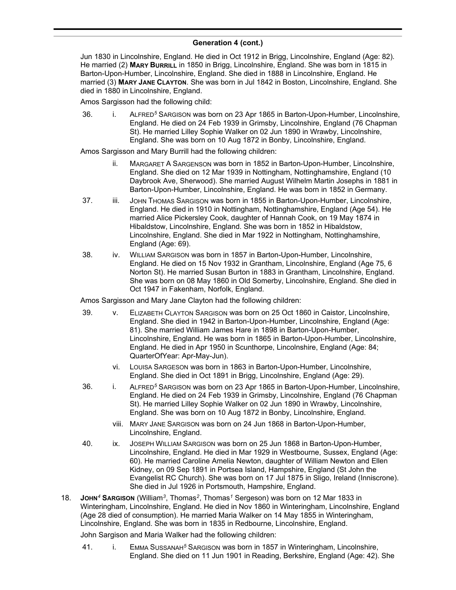Jun 1830 in Lincolnshire, England. He died in Oct 1912 in Brigg, Lincolnshire, England (Age: 82). He married (2) **MARY BURRILL** in 1850 in Brigg, Lincolnshire, England. She was born in 1815 in Barton-Upon-Humber, Lincolnshire, England. She died in 1888 in Lincolnshire, England. He married (3) **MARY JANE CLAYTON**. She was born in Jul 1842 in Boston, Lincolnshire, England. She died in 1880 in Lincolnshire, England.

Amos Sargisson had the following child:

36. i. ALFRED*<sup>5</sup>* SARGISON was born on 23 Apr 1865 in Barton-Upon-Humber, Lincolnshire, England. He died on 24 Feb 1939 in Grimsby, Lincolnshire, England (76 Chapman St). He married Lilley Sophie Walker on 02 Jun 1890 in Wrawby, Lincolnshire, England. She was born on 10 Aug 1872 in Bonby, Lincolnshire, England.

Amos Sargisson and Mary Burrill had the following children:

- ii. MARGARET A SARGENSON was born in 1852 in Barton-Upon-Humber, Lincolnshire, England. She died on 12 Mar 1939 in Nottingham, Nottinghamshire, England (10 Daybrook Ave, Sherwood). She married August Wilhelm Martin Josephs in 1881 in Barton-Upon-Humber, Lincolnshire, England. He was born in 1852 in Germany.
- 37. iii. JOHN THOMAS SARGISON was born in 1855 in Barton-Upon-Humber, Lincolnshire, England. He died in 1910 in Nottingham, Nottinghamshire, England (Age 54). He married Alice Pickersley Cook, daughter of Hannah Cook, on 19 May 1874 in Hibaldstow, Lincolnshire, England. She was born in 1852 in Hibaldstow, Lincolnshire, England. She died in Mar 1922 in Nottingham, Nottinghamshire, England (Age: 69).
- 38. iv. WILLIAM SARGISON was born in 1857 in Barton-Upon-Humber, Lincolnshire, England. He died on 15 Nov 1932 in Grantham, Lincolnshire, England (Age 75, 6 Norton St). He married Susan Burton in 1883 in Grantham, Lincolnshire, England. She was born on 08 May 1860 in Old Somerby, Lincolnshire, England. She died in Oct 1947 in Fakenham, Norfolk, England.

Amos Sargisson and Mary Jane Clayton had the following children:

- 39. v. ELIZABETH CLAYTON SARGISON was born on 25 Oct 1860 in Caistor, Lincolnshire, England. She died in 1942 in Barton-Upon-Humber, Lincolnshire, England (Age: 81). She married William James Hare in 1898 in Barton-Upon-Humber, Lincolnshire, England. He was born in 1865 in Barton-Upon-Humber, Lincolnshire, England. He died in Apr 1950 in Scunthorpe, Lincolnshire, England (Age: 84; QuarterOfYear: Apr-May-Jun).
	- vi. LOUISA SARGESON was born in 1863 in Barton-Upon-Humber, Lincolnshire, England. She died in Oct 1891 in Brigg, Lincolnshire, England (Age: 29).
- 36. i. ALFRED*<sup>5</sup>* SARGISON was born on 23 Apr 1865 in Barton-Upon-Humber, Lincolnshire, England. He died on 24 Feb 1939 in Grimsby, Lincolnshire, England (76 Chapman St). He married Lilley Sophie Walker on 02 Jun 1890 in Wrawby, Lincolnshire, England. She was born on 10 Aug 1872 in Bonby, Lincolnshire, England.
	- viii. MARY JANE SARGISON was born on 24 Jun 1868 in Barton-Upon-Humber, Lincolnshire, England.
- 40. ix. JOSEPH WILLIAM SARGISON was born on 25 Jun 1868 in Barton-Upon-Humber, Lincolnshire, England. He died in Mar 1929 in Westbourne, Sussex, England (Age: 60). He married Caroline Amelia Newton, daughter of William Newton and Ellen Kidney, on 09 Sep 1891 in Portsea Island, Hampshire, England (St John the Evangelist RC Church). She was born on 17 Jul 1875 in Sligo, Ireland (Inniscrone). She died in Jul 1926 in Portsmouth, Hampshire, England.
- 18. **JOHN***<sup>4</sup>* **SARGISON** (William*<sup>3</sup>* , Thomas*<sup>2</sup>* , Thomas*<sup>1</sup>* Sergeson) was born on 12 Mar 1833 in Winteringham, Lincolnshire, England. He died in Nov 1860 in Winteringham, Lincolnshire, England (Age 28 died of consumption). He married Maria Walker on 14 May 1855 in Winteringham, Lincolnshire, England. She was born in 1835 in Redbourne, Lincolnshire, England.

John Sargison and Maria Walker had the following children:

41. i. EMMA SUSSANAH*<sup>5</sup>* SARGISON was born in 1857 in Winteringham, Lincolnshire, England. She died on 11 Jun 1901 in Reading, Berkshire, England (Age: 42). She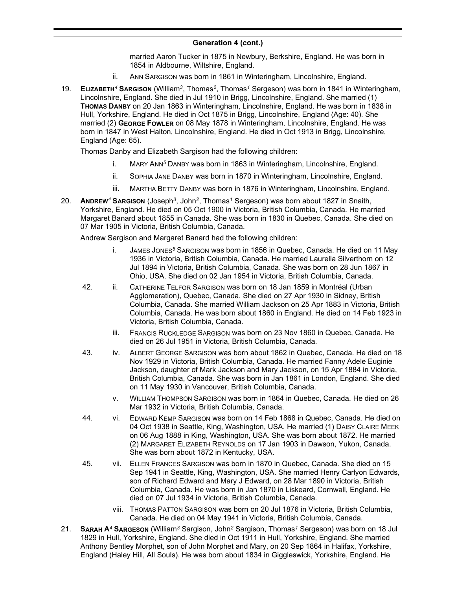married Aaron Tucker in 1875 in Newbury, Berkshire, England. He was born in 1854 in Aldbourne, Wiltshire, England.

- ii. ANN SARGISON was born in 1861 in Winteringham, Lincolnshire, England.
- 19. **ELIZABETH***<sup>4</sup>* **SARGISON** (William*<sup>3</sup>* , Thomas*<sup>2</sup>* , Thomas*<sup>1</sup>* Sergeson) was born in 1841 in Winteringham, Lincolnshire, England. She died in Jul 1910 in Brigg, Lincolnshire, England. She married (1) **THOMAS DANBY** on 20 Jan 1863 in Winteringham, Lincolnshire, England. He was born in 1838 in Hull, Yorkshire, England. He died in Oct 1875 in Brigg, Lincolnshire, England (Age: 40). She married (2) **GEORGE FOWLER** on 08 May 1878 in Winteringham, Lincolnshire, England. He was born in 1847 in West Halton, Lincolnshire, England. He died in Oct 1913 in Brigg, Lincolnshire, England (Age: 65).

Thomas Danby and Elizabeth Sargison had the following children:

- i. MARY ANN*<sup>5</sup>* DANBY was born in 1863 in Winteringham, Lincolnshire, England.
- ii. SOPHIA JANE DANBY was born in 1870 in Winteringham, Lincolnshire, England.
- iii. MARTHA BETTY DANBY was born in 1876 in Winteringham, Lincolnshire, England.
- 20. **ANDREW***<sup>4</sup>* **SARGISON** (Joseph*<sup>3</sup>* , John*<sup>2</sup>* , Thomas*<sup>1</sup>* Sergeson) was born about 1827 in Snaith, Yorkshire, England. He died on 05 Oct 1900 in Victoria, British Columbia, Canada. He married Margaret Banard about 1855 in Canada. She was born in 1830 in Quebec, Canada. She died on 07 Mar 1905 in Victoria, British Columbia, Canada.

Andrew Sargison and Margaret Banard had the following children:

- i. JAMES JONES*<sup>5</sup>* SARGISON was born in 1856 in Quebec, Canada. He died on 11 May 1936 in Victoria, British Columbia, Canada. He married Laurella Silverthorn on 12 Jul 1894 in Victoria, British Columbia, Canada. She was born on 28 Jun 1867 in Ohio, USA. She died on 02 Jan 1954 in Victoria, British Columbia, Canada.
- 42. ii. CATHERINE TELFOR SARGISON was born on 18 Jan 1859 in Montréal (Urban Agglomeration), Quebec, Canada. She died on 27 Apr 1930 in Sidney, British Columbia, Canada. She married William Jackson on 25 Apr 1883 in Victoria, British Columbia, Canada. He was born about 1860 in England. He died on 14 Feb 1923 in Victoria, British Columbia, Canada.
	- iii. FRANCIS RUCKLEDGE SARGISON was born on 23 Nov 1860 in Quebec, Canada. He died on 26 Jul 1951 in Victoria, British Columbia, Canada.
- 43. iv. ALBERT GEORGE SARGISON was born about 1862 in Quebec, Canada. He died on 18 Nov 1929 in Victoria, British Columbia, Canada. He married Fanny Adele Euginie Jackson, daughter of Mark Jackson and Mary Jackson, on 15 Apr 1884 in Victoria, British Columbia, Canada. She was born in Jan 1861 in London, England. She died on 11 May 1930 in Vancouver, British Columbia, Canada.
	- v. WILLIAM THOMPSON SARGISON was born in 1864 in Quebec, Canada. He died on 26 Mar 1932 in Victoria, British Columbia, Canada.
- 44. vi. EDWARD KEMP SARGISON was born on 14 Feb 1868 in Quebec, Canada. He died on 04 Oct 1938 in Seattle, King, Washington, USA. He married (1) DAISY CLAIRE MEEK on 06 Aug 1888 in King, Washington, USA. She was born about 1872. He married (2) MARGARET ELIZABETH REYNOLDS on 17 Jan 1903 in Dawson, Yukon, Canada. She was born about 1872 in Kentucky, USA.
- 45. vii. ELLEN FRANCES SARGISON was born in 1870 in Quebec, Canada. She died on 15 Sep 1941 in Seattle, King, Washington, USA. She married Henry Carlyon Edwards, son of Richard Edward and Mary J Edward, on 28 Mar 1890 in Victoria, British Columbia, Canada. He was born in Jan 1870 in Liskeard, Cornwall, England. He died on 07 Jul 1934 in Victoria, British Columbia, Canada.
	- viii. THOMAS PATTON SARGISON was born on 20 Jul 1876 in Victoria, British Columbia, Canada. He died on 04 May 1941 in Victoria, British Columbia, Canada.
- 21. **SARAH A***<sup>4</sup>* **SARGESON** (William*<sup>3</sup>* Sargison, John*<sup>2</sup>* Sargison, Thomas*<sup>1</sup>* Sergeson) was born on 18 Jul 1829 in Hull, Yorkshire, England. She died in Oct 1911 in Hull, Yorkshire, England. She married Anthony Bentley Morphet, son of John Morphet and Mary, on 20 Sep 1864 in Halifax, Yorkshire, England (Haley Hill, All Souls). He was born about 1834 in Giggleswick, Yorkshire, England. He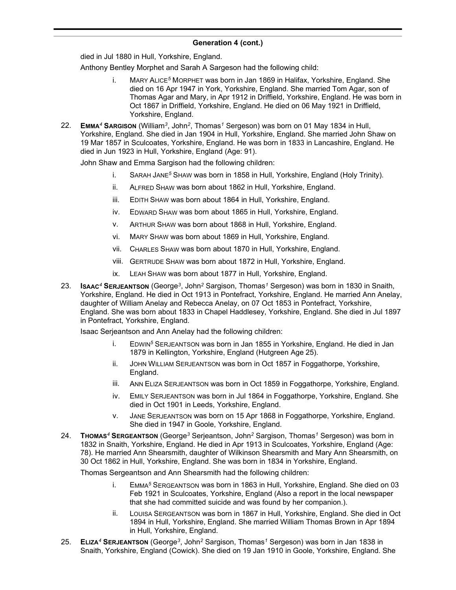died in Jul 1880 in Hull, Yorkshire, England.

Anthony Bentley Morphet and Sarah A Sargeson had the following child:

- i. MARY ALICE*<sup>5</sup>* MORPHET was born in Jan 1869 in Halifax, Yorkshire, England. She died on 16 Apr 1947 in York, Yorkshire, England. She married Tom Agar, son of Thomas Agar and Mary, in Apr 1912 in Driffield, Yorkshire, England. He was born in Oct 1867 in Driffield, Yorkshire, England. He died on 06 May 1921 in Driffield, Yorkshire, England.
- 22. **EMMA***<sup>4</sup>* **SARGISON** (William*<sup>3</sup>* , John*<sup>2</sup>* , Thomas*<sup>1</sup>* Sergeson) was born on 01 May 1834 in Hull, Yorkshire, England. She died in Jan 1904 in Hull, Yorkshire, England. She married John Shaw on 19 Mar 1857 in Sculcoates, Yorkshire, England. He was born in 1833 in Lancashire, England. He died in Jun 1923 in Hull, Yorkshire, England (Age: 91).

John Shaw and Emma Sargison had the following children:

- i. SARAH JANE*<sup>5</sup>* SHAW was born in 1858 in Hull, Yorkshire, England (Holy Trinity).
- ii. ALFRED SHAW was born about 1862 in Hull, Yorkshire, England.
- iii. EDITH SHAW was born about 1864 in Hull, Yorkshire, England.
- iv. EDWARD SHAW was born about 1865 in Hull, Yorkshire, England.
- v. ARTHUR SHAW was born about 1868 in Hull, Yorkshire, England.
- vi. MARY SHAW was born about 1869 in Hull, Yorkshire, England.
- vii. CHARLES SHAW was born about 1870 in Hull, Yorkshire, England.
- viii. GERTRUDE SHAW was born about 1872 in Hull, Yorkshire, England.
- ix. LEAH SHAW was born about 1877 in Hull, Yorkshire, England.
- 23. **ISAAC***<sup>4</sup>* **SERJEANTSON** (George*<sup>3</sup>* , John*<sup>2</sup>* Sargison, Thomas*<sup>1</sup>* Sergeson) was born in 1830 in Snaith, Yorkshire, England. He died in Oct 1913 in Pontefract, Yorkshire, England. He married Ann Anelay, daughter of William Anelay and Rebecca Anelay, on 07 Oct 1853 in Pontefract, Yorkshire, England. She was born about 1833 in Chapel Haddlesey, Yorkshire, England. She died in Jul 1897 in Pontefract, Yorkshire, England.

Isaac Serjeantson and Ann Anelay had the following children:

- i. EDWIN*<sup>5</sup>* SERJEANTSON was born in Jan 1855 in Yorkshire, England. He died in Jan 1879 in Kellington, Yorkshire, England (Hutgreen Age 25).
- ii. JOHN WILLIAM SERJEANTSON was born in Oct 1857 in Foggathorpe, Yorkshire, England.
- iii. ANN ELIZA SERJEANTSON was born in Oct 1859 in Foggathorpe, Yorkshire, England.
- iv. EMILY SERJEANTSON was born in Jul 1864 in Foggathorpe, Yorkshire, England. She died in Oct 1901 in Leeds, Yorkshire, England.
- v. JANE SERJEANTSON was born on 15 Apr 1868 in Foggathorpe, Yorkshire, England. She died in 1947 in Goole, Yorkshire, England.
- 24. **THOMAS***<sup>4</sup>* **SERGEANTSON** (George*<sup>3</sup>* Serjeantson, John*<sup>2</sup>* Sargison, Thomas*<sup>1</sup>* Sergeson) was born in 1832 in Snaith, Yorkshire, England. He died in Apr 1913 in Sculcoates, Yorkshire, England (Age: 78). He married Ann Shearsmith, daughter of Wilkinson Shearsmith and Mary Ann Shearsmith, on 30 Oct 1862 in Hull, Yorkshire, England. She was born in 1834 in Yorkshire, England.

Thomas Sergeantson and Ann Shearsmith had the following children:

- i. EMMA*<sup>5</sup>* SERGEANTSON was born in 1863 in Hull, Yorkshire, England. She died on 03 Feb 1921 in Sculcoates, Yorkshire, England (Also a report in the local newspaper that she had committed suicide and was found by her companion.).
- ii. LOUISA SERGEANTSON was born in 1867 in Hull, Yorkshire, England. She died in Oct 1894 in Hull, Yorkshire, England. She married William Thomas Brown in Apr 1894 in Hull, Yorkshire, England.
- 25. **ELIZA***<sup>4</sup>* **SERJEANTSON** (George*<sup>3</sup>* , John*<sup>2</sup>* Sargison, Thomas*<sup>1</sup>* Sergeson) was born in Jan 1838 in Snaith, Yorkshire, England (Cowick). She died on 19 Jan 1910 in Goole, Yorkshire, England. She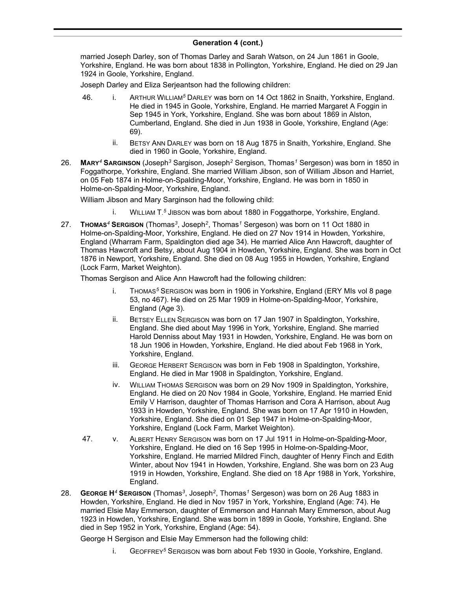married Joseph Darley, son of Thomas Darley and Sarah Watson, on 24 Jun 1861 in Goole, Yorkshire, England. He was born about 1838 in Pollington, Yorkshire, England. He died on 29 Jan 1924 in Goole, Yorkshire, England.

Joseph Darley and Eliza Serjeantson had the following children:

- 46. i. ARTHUR WILLIAM*<sup>5</sup>* DARLEY was born on 14 Oct 1862 in Snaith, Yorkshire, England. He died in 1945 in Goole, Yorkshire, England. He married Margaret A Foggin in Sep 1945 in York, Yorkshire, England. She was born about 1869 in Alston, Cumberland, England. She died in Jun 1938 in Goole, Yorkshire, England (Age: 69).
	- ii. BETSY ANN DARLEY was born on 18 Aug 1875 in Snaith, Yorkshire, England. She died in 1960 in Goole, Yorkshire, England.
- 26. **MARY***<sup>4</sup>* **SARGINSON** (Joseph*<sup>3</sup>* Sargison, Joseph*<sup>2</sup>* Sergison, Thomas*<sup>1</sup>* Sergeson) was born in 1850 in Foggathorpe, Yorkshire, England. She married William Jibson, son of William Jibson and Harriet, on 05 Feb 1874 in Holme-on-Spalding-Moor, Yorkshire, England. He was born in 1850 in Holme-on-Spalding-Moor, Yorkshire, England.

William Jibson and Mary Sarginson had the following child:

- **EXECUTE:** WILLIAM T.<sup>5</sup> JIBSON was born about 1880 in Foggathorpe, Yorkshire, England.
- 27. **THOMAS***<sup>4</sup>* **SERGISON** (Thomas*<sup>3</sup>* , Joseph*<sup>2</sup>* , Thomas*<sup>1</sup>* Sergeson) was born on 11 Oct 1880 in Holme-on-Spalding-Moor, Yorkshire, England. He died on 27 Nov 1914 in Howden, Yorkshire, England (Wharram Farm, Spaldington died age 34). He married Alice Ann Hawcroft, daughter of Thomas Hawcroft and Betsy, about Aug 1904 in Howden, Yorkshire, England. She was born in Oct 1876 in Newport, Yorkshire, England. She died on 08 Aug 1955 in Howden, Yorkshire, England (Lock Farm, Market Weighton).

Thomas Sergison and Alice Ann Hawcroft had the following children:

- THOMAS<sup>5</sup> SERGISON was born in 1906 in Yorkshire, England (ERY MIs vol 8 page 53, no 467). He died on 25 Mar 1909 in Holme-on-Spalding-Moor, Yorkshire, England (Age 3).
- ii. BETSEY ELLEN SERGISON was born on 17 Jan 1907 in Spaldington, Yorkshire, England. She died about May 1996 in York, Yorkshire, England. She married Harold Denniss about May 1931 in Howden, Yorkshire, England. He was born on 18 Jun 1906 in Howden, Yorkshire, England. He died about Feb 1968 in York, Yorkshire, England.
- iii. GEORGE HERBERT SERGISON was born in Feb 1908 in Spaldington, Yorkshire, England. He died in Mar 1908 in Spaldington, Yorkshire, England.
- iv. WILLIAM THOMAS SERGISON was born on 29 Nov 1909 in Spaldington, Yorkshire, England. He died on 20 Nov 1984 in Goole, Yorkshire, England. He married Enid Emily V Harrison, daughter of Thomas Harrison and Cora A Harrison, about Aug 1933 in Howden, Yorkshire, England. She was born on 17 Apr 1910 in Howden, Yorkshire, England. She died on 01 Sep 1947 in Holme-on-Spalding-Moor, Yorkshire, England (Lock Farm, Market Weighton).
- 47. v. ALBERT HENRY SERGISON was born on 17 Jul 1911 in Holme-on-Spalding-Moor, Yorkshire, England. He died on 16 Sep 1995 in Holme-on-Spalding-Moor, Yorkshire, England. He married Mildred Finch, daughter of Henry Finch and Edith Winter, about Nov 1941 in Howden, Yorkshire, England. She was born on 23 Aug 1919 in Howden, Yorkshire, England. She died on 18 Apr 1988 in York, Yorkshire, England.
- 28. **GEORGE H***<sup>4</sup>* **SERGISON** (Thomas*<sup>3</sup>* , Joseph*<sup>2</sup>* , Thomas*<sup>1</sup>* Sergeson) was born on 26 Aug 1883 in Howden, Yorkshire, England. He died in Nov 1957 in York, Yorkshire, England (Age: 74). He married Elsie May Emmerson, daughter of Emmerson and Hannah Mary Emmerson, about Aug 1923 in Howden, Yorkshire, England. She was born in 1899 in Goole, Yorkshire, England. She died in Sep 1952 in York, Yorkshire, England (Age: 54).

George H Sergison and Elsie May Emmerson had the following child:

i. GEOFFREY*<sup>5</sup>* SERGISON was born about Feb 1930 in Goole, Yorkshire, England.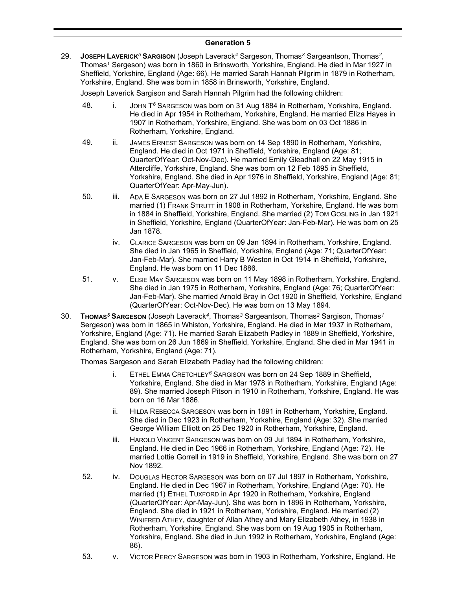### **Generation 5**

29. **JOSEPH LAVERICK***<sup>5</sup>* **SARGISON** (Joseph Laverack*<sup>4</sup>* Sargeson, Thomas*<sup>3</sup>* Sargeantson, Thomas*<sup>2</sup>* , Thomas*<sup>1</sup>* Sergeson) was born in 1860 in Brinsworth, Yorkshire, England. He died in Mar 1927 in Sheffield, Yorkshire, England (Age: 66). He married Sarah Hannah Pilgrim in 1879 in Rotherham, Yorkshire, England. She was born in 1858 in Brinsworth, Yorkshire, England.

Joseph Laverick Sargison and Sarah Hannah Pilgrim had the following children:

- 48. i. JOHN T *<sup>6</sup>* SARGESON was born on 31 Aug 1884 in Rotherham, Yorkshire, England. He died in Apr 1954 in Rotherham, Yorkshire, England. He married Eliza Hayes in 1907 in Rotherham, Yorkshire, England. She was born on 03 Oct 1886 in Rotherham, Yorkshire, England.
- 49. ii. JAMES ERNEST SARGESON was born on 14 Sep 1890 in Rotherham, Yorkshire, England. He died in Oct 1971 in Sheffield, Yorkshire, England (Age: 81; QuarterOfYear: Oct-Nov-Dec). He married Emily Gleadhall on 22 May 1915 in Attercliffe, Yorkshire, England. She was born on 12 Feb 1895 in Sheffield, Yorkshire, England. She died in Apr 1976 in Sheffield, Yorkshire, England (Age: 81; QuarterOfYear: Apr-May-Jun).
- 50. iii. ADA E SARGESON was born on 27 Jul 1892 in Rotherham, Yorkshire, England. She married (1) FRANK STRUTT in 1908 in Rotherham, Yorkshire, England. He was born in 1884 in Sheffield, Yorkshire, England. She married (2) TOM GOSLING in Jan 1921 in Sheffield, Yorkshire, England (QuarterOfYear: Jan-Feb-Mar). He was born on 25 Jan 1878.
	- iv. CLARICE SARGESON was born on 09 Jan 1894 in Rotherham, Yorkshire, England. She died in Jan 1965 in Sheffield, Yorkshire, England (Age: 71; QuarterOfYear: Jan-Feb-Mar). She married Harry B Weston in Oct 1914 in Sheffield, Yorkshire, England. He was born on 11 Dec 1886.
- 51. v. ELSIE MAY SARGESON was born on 11 May 1898 in Rotherham, Yorkshire, England. She died in Jan 1975 in Rotherham, Yorkshire, England (Age: 76; QuarterOfYear: Jan-Feb-Mar). She married Arnold Bray in Oct 1920 in Sheffield, Yorkshire, England (QuarterOfYear: Oct-Nov-Dec). He was born on 13 May 1894.
- 30. **THOMAS***<sup>5</sup>* **SARGESON** (Joseph Laverack*<sup>4</sup>* , Thomas*<sup>3</sup>* Sargeantson, Thomas*<sup>2</sup>* Sargison, Thomas*<sup>1</sup>* Sergeson) was born in 1865 in Whiston, Yorkshire, England. He died in Mar 1937 in Rotherham, Yorkshire, England (Age: 71). He married Sarah Elizabeth Padley in 1889 in Sheffield, Yorkshire, England. She was born on 26 Jun 1869 in Sheffield, Yorkshire, England. She died in Mar 1941 in Rotherham, Yorkshire, England (Age: 71).

Thomas Sargeson and Sarah Elizabeth Padley had the following children:

- i. ETHEL EMMA CRETCHLEY*<sup>6</sup>* SARGISON was born on 24 Sep 1889 in Sheffield, Yorkshire, England. She died in Mar 1978 in Rotherham, Yorkshire, England (Age: 89). She married Joseph Pitson in 1910 in Rotherham, Yorkshire, England. He was born on 16 Mar 1886.
- ii. HILDA REBECCA SARGESON was born in 1891 in Rotherham, Yorkshire, England. She died in Dec 1923 in Rotherham, Yorkshire, England (Age: 32). She married George William Elliott on 25 Dec 1920 in Rotherham, Yorkshire, England.
- iii. HAROLD VINCENT SARGESON was born on 09 Jul 1894 in Rotherham, Yorkshire, England. He died in Dec 1966 in Rotherham, Yorkshire, England (Age: 72). He married Lottie Gorrell in 1919 in Sheffield, Yorkshire, England. She was born on 27 Nov 1892.
- 52. iv. DOUGLAS HECTOR SARGESON was born on 07 Jul 1897 in Rotherham, Yorkshire, England. He died in Dec 1967 in Rotherham, Yorkshire, England (Age: 70). He married (1) ETHEL TUXFORD in Apr 1920 in Rotherham, Yorkshire, England (QuarterOfYear: Apr-May-Jun). She was born in 1896 in Rotherham, Yorkshire, England. She died in 1921 in Rotherham, Yorkshire, England. He married (2) WINIFRED ATHEY, daughter of Allan Athey and Mary Elizabeth Athey, in 1938 in Rotherham, Yorkshire, England. She was born on 19 Aug 1905 in Rotherham, Yorkshire, England. She died in Jun 1992 in Rotherham, Yorkshire, England (Age: 86).
- 53. v. VICTOR PERCY SARGESON was born in 1903 in Rotherham, Yorkshire, England. He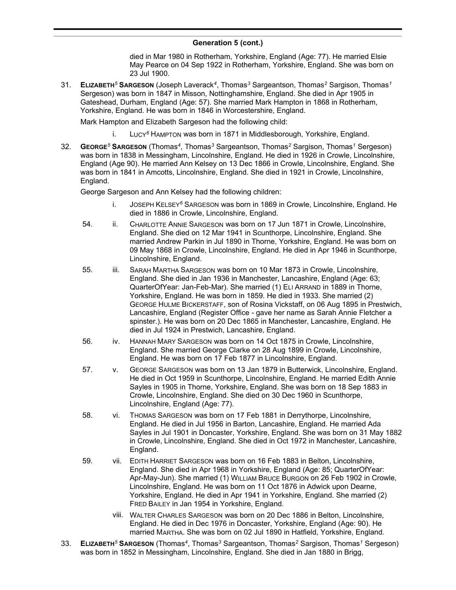died in Mar 1980 in Rotherham, Yorkshire, England (Age: 77). He married Elsie May Pearce on 04 Sep 1922 in Rotherham, Yorkshire, England. She was born on 23 Jul 1900.

31. **ELIZABETH***<sup>5</sup>* **SARGESON** (Joseph Laverack*<sup>4</sup>* , Thomas*<sup>3</sup>* Sargeantson, Thomas*<sup>2</sup>* Sargison, Thomas*<sup>1</sup>* Sergeson) was born in 1847 in Misson, Nottinghamshire, England. She died in Apr 1905 in Gateshead, Durham, England (Age: 57). She married Mark Hampton in 1868 in Rotherham, Yorkshire, England. He was born in 1846 in Worcestershire, England.

Mark Hampton and Elizabeth Sargeson had the following child:

- i. LUCY*<sup>6</sup>* HAMPTON was born in 1871 in Middlesborough, Yorkshire, England.
- 32. **GEORGE***<sup>5</sup>* **SARGESON** (Thomas*<sup>4</sup>* , Thomas*<sup>3</sup>* Sargeantson, Thomas*<sup>2</sup>* Sargison, Thomas*<sup>1</sup>* Sergeson) was born in 1838 in Messingham, Lincolnshire, England. He died in 1926 in Crowle, Lincolnshire, England (Age 90). He married Ann Kelsey on 13 Dec 1866 in Crowle, Lincolnshire, England. She was born in 1841 in Amcotts, Lincolnshire, England. She died in 1921 in Crowle, Lincolnshire, England.

George Sargeson and Ann Kelsey had the following children:

- i. JOSEPH KELSEY*<sup>6</sup>* SARGESON was born in 1869 in Crowle, Lincolnshire, England. He died in 1886 in Crowle, Lincolnshire, England.
- 54. ii. CHARLOTTE ANNIE SARGESON was born on 17 Jun 1871 in Crowle, Lincolnshire, England. She died on 12 Mar 1941 in Scunthorpe, Lincolnshire, England. She married Andrew Parkin in Jul 1890 in Thorne, Yorkshire, England. He was born on 09 May 1868 in Crowle, Lincolnshire, England. He died in Apr 1946 in Scunthorpe, Lincolnshire, England.
- 55. iii. SARAH MARTHA SARGESON was born on 10 Mar 1873 in Crowle, Lincolnshire, England. She died in Jan 1936 in Manchester, Lancashire, England (Age: 63; QuarterOfYear: Jan-Feb-Mar). She married (1) ELI ARRAND in 1889 in Thorne, Yorkshire, England. He was born in 1859. He died in 1933. She married (2) GEORGE HULME BICKERSTAFF, son of Rosina Vickstaff, on 06 Aug 1895 in Prestwich, Lancashire, England (Register Office - gave her name as Sarah Annie Fletcher a spinster.). He was born on 20 Dec 1865 in Manchester, Lancashire, England. He died in Jul 1924 in Prestwich, Lancashire, England.
- 56. iv. HANNAH MARY SARGESON was born on 14 Oct 1875 in Crowle, Lincolnshire, England. She married George Clarke on 28 Aug 1899 in Crowle, Lincolnshire, England. He was born on 17 Feb 1877 in Lincolnshire, England.
- 57. v. GEORGE SARGESON was born on 13 Jan 1879 in Butterwick, Lincolnshire, England. He died in Oct 1959 in Scunthorpe, Lincolnshire, England. He married Edith Annie Sayles in 1905 in Thorne, Yorkshire, England. She was born on 18 Sep 1883 in Crowle, Lincolnshire, England. She died on 30 Dec 1960 in Scunthorpe, Lincolnshire, England (Age: 77).
- 58. vi. THOMAS SARGESON was born on 17 Feb 1881 in Derrythorpe, Lincolnshire, England. He died in Jul 1956 in Barton, Lancashire, England. He married Ada Sayles in Jul 1901 in Doncaster, Yorkshire, England. She was born on 31 May 1882 in Crowle, Lincolnshire, England. She died in Oct 1972 in Manchester, Lancashire, England.
- 59. vii. EDITH HARRIET SARGESON was born on 16 Feb 1883 in Belton, Lincolnshire, England. She died in Apr 1968 in Yorkshire, England (Age: 85; QuarterOfYear: Apr-May-Jun). She married (1) WILLIAM BRUCE BURGON on 26 Feb 1902 in Crowle, Lincolnshire, England. He was born on 11 Oct 1876 in Adwick upon Dearne, Yorkshire, England. He died in Apr 1941 in Yorkshire, England. She married (2) FRED BAILEY in Jan 1954 in Yorkshire, England.
	- viii. WALTER CHARLES SARGESON was born on 20 Dec 1886 in Belton, Lincolnshire, England. He died in Dec 1976 in Doncaster, Yorkshire, England (Age: 90). He married MARTHA. She was born on 02 Jul 1890 in Hatfield, Yorkshire, England.
- 33. **ELIZABETH***<sup>5</sup>* **SARGESON** (Thomas*<sup>4</sup>* , Thomas*<sup>3</sup>* Sargeantson, Thomas*<sup>2</sup>* Sargison, Thomas*<sup>1</sup>* Sergeson) was born in 1852 in Messingham, Lincolnshire, England. She died in Jan 1880 in Brigg,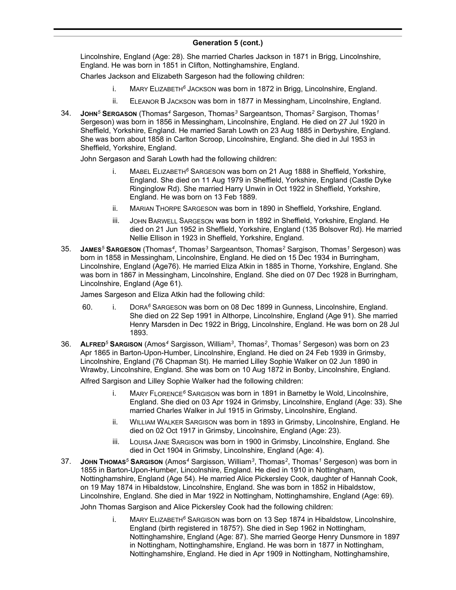#### **Generation 5 (cont.)**  $Covian, V(0, n)$

Lincolnshire, England (Age: 28). She married Charles Jackson in 1871 in Brigg, Lincolnshire, England. He was born in 1851 in Clifton, Nottinghamshire, England.

Charles Jackson and Elizabeth Sargeson had the following children:

- i. MARY ELIZABETH*<sup>6</sup>* JACKSON was born in 1872 in Brigg, Lincolnshire, England.
- ii. ELEANOR B JACKSON was born in 1877 in Messingham, Lincolnshire, England.
- 34. **JOHN***<sup>5</sup>* **SERGASON** (Thomas*<sup>4</sup>* Sargeson, Thomas*<sup>3</sup>* Sargeantson, Thomas*<sup>2</sup>* Sargison, Thomas*<sup>1</sup>* Sergeson) was born in 1856 in Messingham, Lincolnshire, England. He died on 27 Jul 1920 in Sheffield, Yorkshire, England. He married Sarah Lowth on 23 Aug 1885 in Derbyshire, England. She was born about 1858 in Carlton Scroop, Lincolnshire, England. She died in Jul 1953 in Sheffield, Yorkshire, England.

John Sergason and Sarah Lowth had the following children:

- i. MABEL ELIZABETH*<sup>6</sup>* SARGESON was born on 21 Aug 1888 in Sheffield, Yorkshire, England. She died on 11 Aug 1979 in Sheffield, Yorkshire, England (Castle Dyke Ringinglow Rd). She married Harry Unwin in Oct 1922 in Sheffield, Yorkshire, England. He was born on 13 Feb 1889.
- ii. MARIAN THORPE SARGESON was born in 1890 in Sheffield, Yorkshire, England.
- iii. JOHN BARWELL SARGESON was born in 1892 in Sheffield, Yorkshire, England. He died on 21 Jun 1952 in Sheffield, Yorkshire, England (135 Bolsover Rd). He married Nellie Ellison in 1923 in Sheffield, Yorkshire, England.
- 35. **JAMES***<sup>5</sup>* **SARGESON** (Thomas*<sup>4</sup>* , Thomas*<sup>3</sup>* Sargeantson, Thomas*<sup>2</sup>* Sargison, Thomas*<sup>1</sup>* Sergeson) was born in 1858 in Messingham, Lincolnshire, England. He died on 15 Dec 1934 in Burringham, Lincolnshire, England (Age76). He married Eliza Atkin in 1885 in Thorne, Yorkshire, England. She was born in 1867 in Messingham, Lincolnshire, England. She died on 07 Dec 1928 in Burringham, Lincolnshire, England (Age 61).

James Sargeson and Eliza Atkin had the following child:

- 60. i. DORA*<sup>6</sup>* SARGESON was born on 08 Dec 1899 in Gunness, Lincolnshire, England. She died on 22 Sep 1991 in Althorpe, Lincolnshire, England (Age 91). She married Henry Marsden in Dec 1922 in Brigg, Lincolnshire, England. He was born on 28 Jul 1893.
- 36. **ALFRED***<sup>5</sup>* **SARGISON** (Amos*<sup>4</sup>* Sargisson, William*<sup>3</sup>* , Thomas*<sup>2</sup>* , Thomas*<sup>1</sup>* Sergeson) was born on 23 Apr 1865 in Barton-Upon-Humber, Lincolnshire, England. He died on 24 Feb 1939 in Grimsby, Lincolnshire, England (76 Chapman St). He married Lilley Sophie Walker on 02 Jun 1890 in Wrawby, Lincolnshire, England. She was born on 10 Aug 1872 in Bonby, Lincolnshire, England.

Alfred Sargison and Lilley Sophie Walker had the following children:

- i. MARY FLORENCE*<sup>6</sup>* SARGISON was born in 1891 in Barnetby le Wold, Lincolnshire, England. She died on 03 Apr 1924 in Grimsby, Lincolnshire, England (Age: 33). She married Charles Walker in Jul 1915 in Grimsby, Lincolnshire, England.
- ii. WILLIAM WALKER SARGISON was born in 1893 in Grimsby, Lincolnshire, England. He died on 02 Oct 1917 in Grimsby, Lincolnshire, England (Age: 23).
- iii. LOUISA JANE SARGISON was born in 1900 in Grimsby, Lincolnshire, England. She died in Oct 1904 in Grimsby, Lincolnshire, England (Age: 4).
- 37. **JOHN THOMAS***<sup>5</sup>* **SARGISON** (Amos*<sup>4</sup>* Sargisson, William*<sup>3</sup>* , Thomas*<sup>2</sup>* , Thomas*<sup>1</sup>* Sergeson) was born in 1855 in Barton-Upon-Humber, Lincolnshire, England. He died in 1910 in Nottingham, Nottinghamshire, England (Age 54). He married Alice Pickersley Cook, daughter of Hannah Cook, on 19 May 1874 in Hibaldstow, Lincolnshire, England. She was born in 1852 in Hibaldstow, Lincolnshire, England. She died in Mar 1922 in Nottingham, Nottinghamshire, England (Age: 69).

John Thomas Sargison and Alice Pickersley Cook had the following children:

i. MARY ELIZABETH*<sup>6</sup>* SARGISON was born on 13 Sep 1874 in Hibaldstow, Lincolnshire, England (birth registered in 1875?). She died in Sep 1962 in Nottingham, Nottinghamshire, England (Age: 87). She married George Henry Dunsmore in 1897 in Nottingham, Nottinghamshire, England. He was born in 1877 in Nottingham, Nottinghamshire, England. He died in Apr 1909 in Nottingham, Nottinghamshire,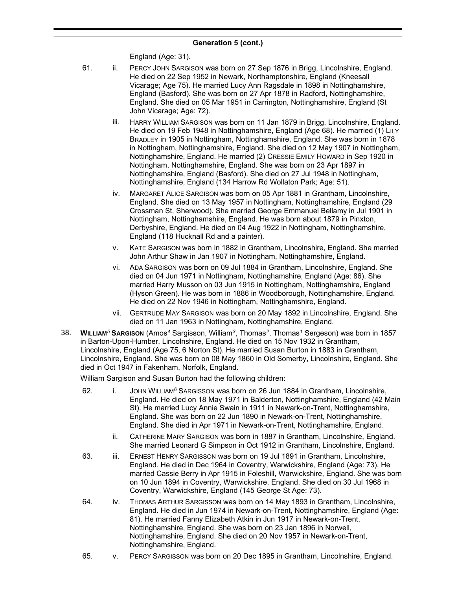England (Age: 31).

- 61. ii. PERCY JOHN SARGISON was born on 27 Sep 1876 in Brigg, Lincolnshire, England. He died on 22 Sep 1952 in Newark, Northamptonshire, England (Kneesall Vicarage; Age 75). He married Lucy Ann Ragsdale in 1898 in Nottinghamshire, England (Basford). She was born on 27 Apr 1878 in Radford, Nottinghamshire, England. She died on 05 Mar 1951 in Carrington, Nottinghamshire, England (St John Vicarage; Age: 72).
	- iii. HARRY WILLIAM SARGISON was born on 11 Jan 1879 in Brigg, Lincolnshire, England. He died on 19 Feb 1948 in Nottinghamshire, England (Age 68). He married (1) LILY BRADLEY in 1905 in Nottingham, Nottinghamshire, England. She was born in 1878 in Nottingham, Nottinghamshire, England. She died on 12 May 1907 in Nottingham, Nottinghamshire, England. He married (2) CRESSIE EMILY HOWARD in Sep 1920 in Nottingham, Nottinghamshire, England. She was born on 23 Apr 1897 in Nottinghamshire, England (Basford). She died on 27 Jul 1948 in Nottingham, Nottinghamshire, England (134 Harrow Rd Wollaton Park; Age: 51).
	- iv. MARGARET ALICE SARGISON was born on 05 Apr 1881 in Grantham, Lincolnshire, England. She died on 13 May 1957 in Nottingham, Nottinghamshire, England (29 Crossman St, Sherwood). She married George Emmanuel Bellamy in Jul 1901 in Nottingham, Nottinghamshire, England. He was born about 1879 in Pinxton, Derbyshire, England. He died on 04 Aug 1922 in Nottingham, Nottinghamshire, England (118 Hucknall Rd and a painter).
	- v. KATE SARGISON was born in 1882 in Grantham, Lincolnshire, England. She married John Arthur Shaw in Jan 1907 in Nottingham, Nottinghamshire, England.
	- vi. ADA SARGISON was born on 09 Jul 1884 in Grantham, Lincolnshire, England. She died on 04 Jun 1971 in Nottingham, Nottinghamshire, England (Age: 86). She married Harry Musson on 03 Jun 1915 in Nottingham, Nottinghamshire, England (Hyson Green). He was born in 1886 in Woodborough, Nottinghamshire, England. He died on 22 Nov 1946 in Nottingham, Nottinghamshire, England.
	- vii. GERTRUDE MAY SARGISON was born on 20 May 1892 in Lincolnshire, England. She died on 11 Jan 1963 in Nottingham, Nottinghamshire, England.
- 38. **WILLIAM***<sup>5</sup>* **SARGISON** (Amos*<sup>4</sup>* Sargisson, William*<sup>3</sup>* , Thomas*<sup>2</sup>* , Thomas*<sup>1</sup>* Sergeson) was born in 1857 in Barton-Upon-Humber, Lincolnshire, England. He died on 15 Nov 1932 in Grantham, Lincolnshire, England (Age 75, 6 Norton St). He married Susan Burton in 1883 in Grantham, Lincolnshire, England. She was born on 08 May 1860 in Old Somerby, Lincolnshire, England. She died in Oct 1947 in Fakenham, Norfolk, England.

William Sargison and Susan Burton had the following children:

- 62. i. JOHN WILLIAM*<sup>6</sup>* SARGISSON was born on 26 Jun 1884 in Grantham, Lincolnshire, England. He died on 18 May 1971 in Balderton, Nottinghamshire, England (42 Main St). He married Lucy Annie Swain in 1911 in Newark-on-Trent, Nottinghamshire, England. She was born on 22 Jun 1890 in Newark-on-Trent, Nottinghamshire, England. She died in Apr 1971 in Newark-on-Trent, Nottinghamshire, England.
	- ii. CATHERINE MARY SARGISON was born in 1887 in Grantham, Lincolnshire, England. She married Leonard G Simpson in Oct 1912 in Grantham, Lincolnshire, England.
- 63. iii. ERNEST HENRY SARGISSON was born on 19 Jul 1891 in Grantham, Lincolnshire, England. He died in Dec 1964 in Coventry, Warwickshire, England (Age: 73). He married Cassie Berry in Apr 1915 in Foleshill, Warwickshire, England. She was born on 10 Jun 1894 in Coventry, Warwickshire, England. She died on 30 Jul 1968 in Coventry, Warwickshire, England (145 George St Age: 73).
- 64. iv. THOMAS ARTHUR SARGISSON was born on 14 May 1893 in Grantham, Lincolnshire, England. He died in Jun 1974 in Newark-on-Trent, Nottinghamshire, England (Age: 81). He married Fanny Elizabeth Atkin in Jun 1917 in Newark-on-Trent, Nottinghamshire, England. She was born on 23 Jan 1896 in Norwell, Nottinghamshire, England. She died on 20 Nov 1957 in Newark-on-Trent, Nottinghamshire, England.
- 65. v. PERCY SARGISSON was born on 20 Dec 1895 in Grantham, Lincolnshire, England.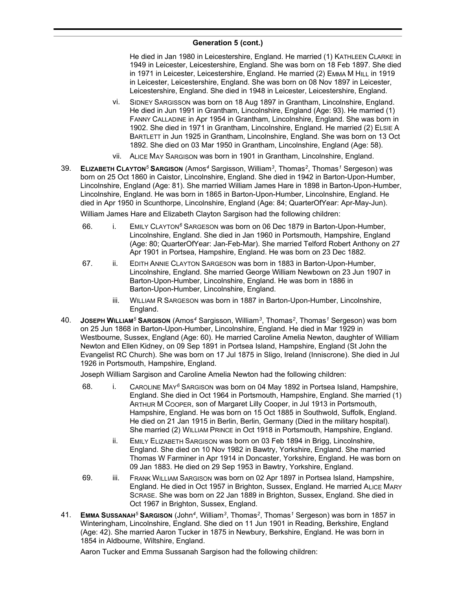He died in Jan 1980 in Leicestershire, England. He married (1) KATHLEEN CLARKE in 1949 in Leicester, Leicestershire, England. She was born on 18 Feb 1897. She died in 1971 in Leicester, Leicestershire, England. He married (2) EMMA M HILL in 1919 in Leicester, Leicestershire, England. She was born on 08 Nov 1897 in Leicester, Leicestershire, England. She died in 1948 in Leicester, Leicestershire, England.

- vi. SIDNEY SARGISSON was born on 18 Aug 1897 in Grantham, Lincolnshire, England. He died in Jun 1991 in Grantham, Lincolnshire, England (Age: 93). He married (1) FANNY CALLADINE in Apr 1954 in Grantham, Lincolnshire, England. She was born in 1902. She died in 1971 in Grantham, Lincolnshire, England. He married (2) ELSIE A BARTLETT in Jun 1925 in Grantham, Lincolnshire, England. She was born on 13 Oct 1892. She died on 03 Mar 1950 in Grantham, Lincolnshire, England (Age: 58).
- vii. ALICE MAY SARGISON was born in 1901 in Grantham, Lincolnshire, England.
- 39. **ELIZABETH CLAYTON***<sup>5</sup>* **SARGISON** (Amos*<sup>4</sup>* Sargisson, William*<sup>3</sup>* , Thomas*<sup>2</sup>* , Thomas*<sup>1</sup>* Sergeson) was born on 25 Oct 1860 in Caistor, Lincolnshire, England. She died in 1942 in Barton-Upon-Humber, Lincolnshire, England (Age: 81). She married William James Hare in 1898 in Barton-Upon-Humber, Lincolnshire, England. He was born in 1865 in Barton-Upon-Humber, Lincolnshire, England. He died in Apr 1950 in Scunthorpe, Lincolnshire, England (Age: 84; QuarterOfYear: Apr-May-Jun).

William James Hare and Elizabeth Clayton Sargison had the following children:

- 66. i. EMILY CLAYTON*<sup>6</sup>* SARGESON was born on 06 Dec 1879 in Barton-Upon-Humber, Lincolnshire, England. She died in Jan 1960 in Portsmouth, Hampshire, England (Age: 80; QuarterOfYear: Jan-Feb-Mar). She married Telford Robert Anthony on 27 Apr 1901 in Portsea, Hampshire, England. He was born on 23 Dec 1882.
- 67. ii. EDITH ANNIE CLAYTON SARGESON was born in 1883 in Barton-Upon-Humber, Lincolnshire, England. She married George William Newbown on 23 Jun 1907 in Barton-Upon-Humber, Lincolnshire, England. He was born in 1886 in Barton-Upon-Humber, Lincolnshire, England.
	- iii. WILLIAM R SARGESON was born in 1887 in Barton-Upon-Humber, Lincolnshire, England.
- 40. **JOSEPH WILLIAM***<sup>5</sup>* **SARGISON** (Amos*<sup>4</sup>* Sargisson, William*<sup>3</sup>* , Thomas*<sup>2</sup>* , Thomas*<sup>1</sup>* Sergeson) was born on 25 Jun 1868 in Barton-Upon-Humber, Lincolnshire, England. He died in Mar 1929 in Westbourne, Sussex, England (Age: 60). He married Caroline Amelia Newton, daughter of William Newton and Ellen Kidney, on 09 Sep 1891 in Portsea Island, Hampshire, England (St John the Evangelist RC Church). She was born on 17 Jul 1875 in Sligo, Ireland (Inniscrone). She died in Jul 1926 in Portsmouth, Hampshire, England.

Joseph William Sargison and Caroline Amelia Newton had the following children:

- 68. i. CAROLINE MAY*<sup>6</sup>* SARGISON was born on 04 May 1892 in Portsea Island, Hampshire, England. She died in Oct 1964 in Portsmouth, Hampshire, England. She married (1) ARTHUR M COOPER, son of Margaret Lilly Cooper, in Jul 1913 in Portsmouth, Hampshire, England. He was born on 15 Oct 1885 in Southwold, Suffolk, England. He died on 21 Jan 1915 in Berlin, Berlin, Germany (Died in the military hospital). She married (2) WILLIAM PRINCE in Oct 1918 in Portsmouth, Hampshire, England.
	- ii. EMILY ELIZABETH SARGISON was born on 03 Feb 1894 in Brigg, Lincolnshire, England. She died on 10 Nov 1982 in Bawtry, Yorkshire, England. She married Thomas W Farminer in Apr 1914 in Doncaster, Yorkshire, England. He was born on 09 Jan 1883. He died on 29 Sep 1953 in Bawtry, Yorkshire, England.
- 69. iii. FRANK WILLIAM SARGISON was born on 02 Apr 1897 in Portsea Island, Hampshire, England. He died in Oct 1957 in Brighton, Sussex, England. He married ALICE MARY SCRASE. She was born on 22 Jan 1889 in Brighton, Sussex, England. She died in Oct 1967 in Brighton, Sussex, England.
- 41. **EMMA SUSSANAH***<sup>5</sup>* **SARGISON** (John*<sup>4</sup>* , William*<sup>3</sup>* , Thomas*<sup>2</sup>* , Thomas*<sup>1</sup>* Sergeson) was born in 1857 in Winteringham, Lincolnshire, England. She died on 11 Jun 1901 in Reading, Berkshire, England (Age: 42). She married Aaron Tucker in 1875 in Newbury, Berkshire, England. He was born in 1854 in Aldbourne, Wiltshire, England.

Aaron Tucker and Emma Sussanah Sargison had the following children: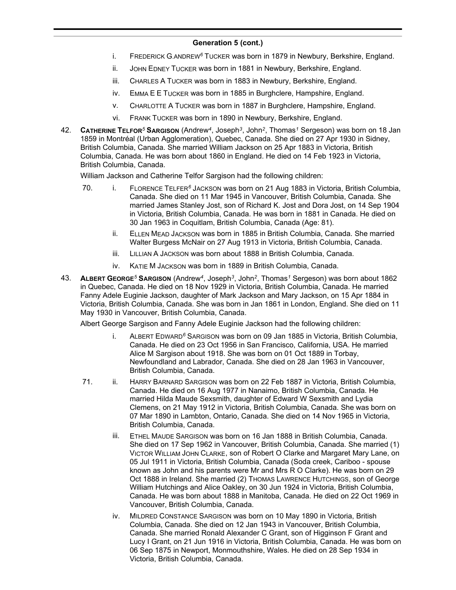- i. FREDERICK G.ANDREW*<sup>6</sup>* TUCKER was born in 1879 in Newbury, Berkshire, England.
- ii. JOHN EDNEY TUCKER was born in 1881 in Newbury, Berkshire, England.
- iii. CHARLES A TUCKER was born in 1883 in Newbury, Berkshire, England.
- iv. EMMA E E TUCKER was born in 1885 in Burghclere, Hampshire, England.
- v. CHARLOTTE A TUCKER was born in 1887 in Burghclere, Hampshire, England.
- vi. FRANK TUCKER was born in 1890 in Newbury, Berkshire, England.
- 42. **CATHERINE TELFOR***<sup>5</sup>* **SARGISON** (Andrew*<sup>4</sup>* , Joseph*<sup>3</sup>* , John*<sup>2</sup>* , Thomas*<sup>1</sup>* Sergeson) was born on 18 Jan 1859 in Montréal (Urban Agglomeration), Quebec, Canada. She died on 27 Apr 1930 in Sidney, British Columbia, Canada. She married William Jackson on 25 Apr 1883 in Victoria, British Columbia, Canada. He was born about 1860 in England. He died on 14 Feb 1923 in Victoria, British Columbia, Canada.

William Jackson and Catherine Telfor Sargison had the following children:

- 70. i. FLORENCE TELFER*<sup>6</sup>* JACKSON was born on 21 Aug 1883 in Victoria, British Columbia, Canada. She died on 11 Mar 1945 in Vancouver, British Columbia, Canada. She married James Stanley Jost, son of Richard K. Jost and Dora Jost, on 14 Sep 1904 in Victoria, British Columbia, Canada. He was born in 1881 in Canada. He died on 30 Jan 1963 in Coquitlam, British Columbia, Canada (Age: 81).
	- ii. ELLEN MEAD JACKSON was born in 1885 in British Columbia, Canada. She married Walter Burgess McNair on 27 Aug 1913 in Victoria, British Columbia, Canada.
	- iii. LILLIAN A JACKSON was born about 1888 in British Columbia, Canada.
	- iv. KATIE M JACKSON was born in 1889 in British Columbia, Canada.
- 43. **ALBERT GEORGE***<sup>5</sup>* **SARGISON** (Andrew*<sup>4</sup>* , Joseph*<sup>3</sup>* , John*<sup>2</sup>* , Thomas*<sup>1</sup>* Sergeson) was born about 1862 in Quebec, Canada. He died on 18 Nov 1929 in Victoria, British Columbia, Canada. He married Fanny Adele Euginie Jackson, daughter of Mark Jackson and Mary Jackson, on 15 Apr 1884 in Victoria, British Columbia, Canada. She was born in Jan 1861 in London, England. She died on 11 May 1930 in Vancouver, British Columbia, Canada.

Albert George Sargison and Fanny Adele Euginie Jackson had the following children:

- i. ALBERT EDWARD*<sup>6</sup>* SARGISON was born on 09 Jan 1885 in Victoria, British Columbia, Canada. He died on 23 Oct 1956 in San Francisco, California, USA. He married Alice M Sargison about 1918. She was born on 01 Oct 1889 in Torbay, Newfoundland and Labrador, Canada. She died on 28 Jan 1963 in Vancouver, British Columbia, Canada.
- 71. ii. HARRY BARNARD SARGISON was born on 22 Feb 1887 in Victoria, British Columbia, Canada. He died on 16 Aug 1977 in Nanaimo, British Columbia, Canada. He married Hilda Maude Sexsmith, daughter of Edward W Sexsmith and Lydia Clemens, on 21 May 1912 in Victoria, British Columbia, Canada. She was born on 07 Mar 1890 in Lambton, Ontario, Canada. She died on 14 Nov 1965 in Victoria, British Columbia, Canada.
	- iii. ETHEL MAUDE SARGISON was born on 16 Jan 1888 in British Columbia, Canada. She died on 17 Sep 1962 in Vancouver, British Columbia, Canada. She married (1) VICTOR WILLIAM JOHN CLARKE, son of Robert O Clarke and Margaret Mary Lane, on 05 Jul 1911 in Victoria, British Columbia, Canada (Soda creek, Cariboo - spouse known as John and his parents were Mr and Mrs R O Clarke). He was born on 29 Oct 1888 in Ireland. She married (2) THOMAS LAWRENCE HUTCHINGS, son of George William Hutchings and Alice Oakley, on 30 Jun 1924 in Victoria, British Columbia, Canada. He was born about 1888 in Manitoba, Canada. He died on 22 Oct 1969 in Vancouver, British Columbia, Canada.
	- iv. MILDRED CONSTANCE SARGISON was born on 10 May 1890 in Victoria, British Columbia, Canada. She died on 12 Jan 1943 in Vancouver, British Columbia, Canada. She married Ronald Alexander C Grant, son of Higginson F Grant and Lucy I Grant, on 21 Jun 1916 in Victoria, British Columbia, Canada. He was born on 06 Sep 1875 in Newport, Monmouthshire, Wales. He died on 28 Sep 1934 in Victoria, British Columbia, Canada.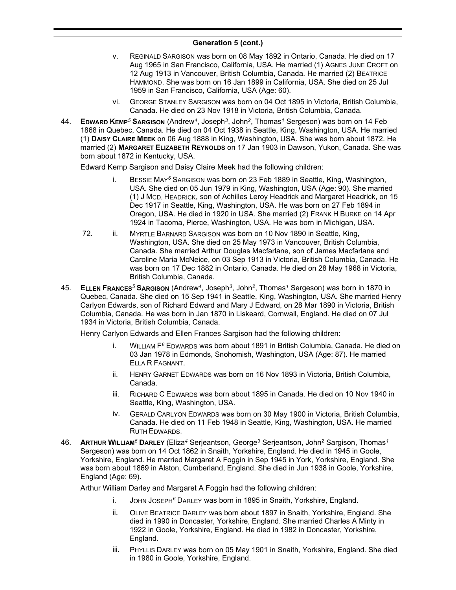- v. REGINALD SARGISON was born on 08 May 1892 in Ontario, Canada. He died on 17 Aug 1965 in San Francisco, California, USA. He married (1) AGNES JUNE CROFT on 12 Aug 1913 in Vancouver, British Columbia, Canada. He married (2) BEATRICE HAMMOND. She was born on 16 Jan 1899 in California, USA. She died on 25 Jul 1959 in San Francisco, California, USA (Age: 60).
- vi. GEORGE STANLEY SARGISON was born on 04 Oct 1895 in Victoria, British Columbia, Canada. He died on 23 Nov 1918 in Victoria, British Columbia, Canada.
- 44. **EDWARD KEMP***<sup>5</sup>* **SARGISON** (Andrew*<sup>4</sup>* , Joseph*<sup>3</sup>* , John*<sup>2</sup>* , Thomas*<sup>1</sup>* Sergeson) was born on 14 Feb 1868 in Quebec, Canada. He died on 04 Oct 1938 in Seattle, King, Washington, USA. He married (1) **DAISY CLAIRE MEEK** on 06 Aug 1888 in King, Washington, USA. She was born about 1872. He married (2) **MARGARET ELIZABETH REYNOLDS** on 17 Jan 1903 in Dawson, Yukon, Canada. She was born about 1872 in Kentucky, USA.

Edward Kemp Sargison and Daisy Claire Meek had the following children:

- i. BESSIE MAY*<sup>6</sup>* SARGISON was born on 23 Feb 1889 in Seattle, King, Washington, USA. She died on 05 Jun 1979 in King, Washington, USA (Age: 90). She married (1) J MCD. HEADRICK, son of Achilles Leroy Headrick and Margaret Headrick, on 15 Dec 1917 in Seattle, King, Washington, USA. He was born on 27 Feb 1894 in Oregon, USA. He died in 1920 in USA. She married (2) FRANK H BURKE on 14 Apr 1924 in Tacoma, Pierce, Washington, USA. He was born in Michigan, USA.
- 72. ii. MYRTLE BARNARD SARGISON was born on 10 Nov 1890 in Seattle, King, Washington, USA. She died on 25 May 1973 in Vancouver, British Columbia, Canada. She married Arthur Douglas Macfarlane, son of James Macfarlane and Caroline Maria McNeice, on 03 Sep 1913 in Victoria, British Columbia, Canada. He was born on 17 Dec 1882 in Ontario, Canada. He died on 28 May 1968 in Victoria, British Columbia, Canada.
- 45. **ELLEN FRANCES***<sup>5</sup>* **SARGISON** (Andrew*<sup>4</sup>* , Joseph*<sup>3</sup>* , John*<sup>2</sup>* , Thomas*<sup>1</sup>* Sergeson) was born in 1870 in Quebec, Canada. She died on 15 Sep 1941 in Seattle, King, Washington, USA. She married Henry Carlyon Edwards, son of Richard Edward and Mary J Edward, on 28 Mar 1890 in Victoria, British Columbia, Canada. He was born in Jan 1870 in Liskeard, Cornwall, England. He died on 07 Jul 1934 in Victoria, British Columbia, Canada.

Henry Carlyon Edwards and Ellen Frances Sargison had the following children:

- i. WILLIAM F *<sup>6</sup>* EDWARDS was born about 1891 in British Columbia, Canada. He died on 03 Jan 1978 in Edmonds, Snohomish, Washington, USA (Age: 87). He married ELLA R FAGNANT.
- ii. HENRY GARNET EDWARDS was born on 16 Nov 1893 in Victoria, British Columbia, Canada.
- iii. RICHARD C EDWARDS was born about 1895 in Canada. He died on 10 Nov 1940 in Seattle, King, Washington, USA.
- iv. GERALD CARLYON EDWARDS was born on 30 May 1900 in Victoria, British Columbia, Canada. He died on 11 Feb 1948 in Seattle, King, Washington, USA. He married RUTH EDWARDS.
- 46. **ARTHUR WILLIAM***<sup>5</sup>* **DARLEY** (Eliza*<sup>4</sup>* Serjeantson, George*<sup>3</sup>* Serjeantson, John*<sup>2</sup>* Sargison, Thomas*<sup>1</sup>* Sergeson) was born on 14 Oct 1862 in Snaith, Yorkshire, England. He died in 1945 in Goole, Yorkshire, England. He married Margaret A Foggin in Sep 1945 in York, Yorkshire, England. She was born about 1869 in Alston, Cumberland, England. She died in Jun 1938 in Goole, Yorkshire, England (Age: 69).

Arthur William Darley and Margaret A Foggin had the following children:

- i. JOHN JOSEPH*<sup>6</sup>* DARLEY was born in 1895 in Snaith, Yorkshire, England.
- ii. OLIVE BEATRICE DARLEY was born about 1897 in Snaith, Yorkshire, England. She died in 1990 in Doncaster, Yorkshire, England. She married Charles A Minty in 1922 in Goole, Yorkshire, England. He died in 1982 in Doncaster, Yorkshire, England.
- iii. PHYLLIS DARLEY was born on 05 May 1901 in Snaith, Yorkshire, England. She died in 1980 in Goole, Yorkshire, England.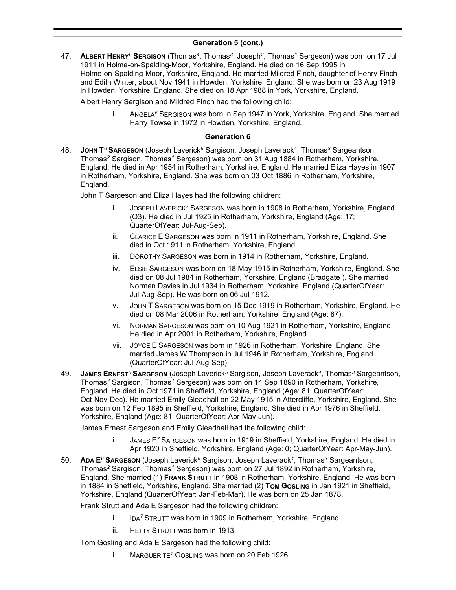47. **ALBERT HENRY***<sup>5</sup>* **SERGISON** (Thomas*<sup>4</sup>* , Thomas*<sup>3</sup>* , Joseph*<sup>2</sup>* , Thomas*<sup>1</sup>* Sergeson) was born on 17 Jul 1911 in Holme-on-Spalding-Moor, Yorkshire, England. He died on 16 Sep 1995 in Holme-on-Spalding-Moor, Yorkshire, England. He married Mildred Finch, daughter of Henry Finch and Edith Winter, about Nov 1941 in Howden, Yorkshire, England. She was born on 23 Aug 1919 in Howden, Yorkshire, England. She died on 18 Apr 1988 in York, Yorkshire, England.

Albert Henry Sergison and Mildred Finch had the following child:

i. ANGELA*<sup>6</sup>* SERGISON was born in Sep 1947 in York, Yorkshire, England. She married Harry Towse in 1972 in Howden, Yorkshire, England.

### **Generation 6**

48. **JOHN T** *<sup>6</sup>* **SARGESON** (Joseph Laverick*<sup>5</sup>* Sargison, Joseph Laverack*<sup>4</sup>* , Thomas*<sup>3</sup>* Sargeantson, Thomas*<sup>2</sup>* Sargison, Thomas*<sup>1</sup>* Sergeson) was born on 31 Aug 1884 in Rotherham, Yorkshire, England. He died in Apr 1954 in Rotherham, Yorkshire, England. He married Eliza Hayes in 1907 in Rotherham, Yorkshire, England. She was born on 03 Oct 1886 in Rotherham, Yorkshire, England.

John T Sargeson and Eliza Hayes had the following children:

- i. JOSEPH LAVERICK*<sup>7</sup>* SARGESON was born in 1908 in Rotherham, Yorkshire, England (Q3). He died in Jul 1925 in Rotherham, Yorkshire, England (Age: 17; QuarterOfYear: Jul-Aug-Sep).
- ii. CLARICE E SARGESON was born in 1911 in Rotherham, Yorkshire, England. She died in Oct 1911 in Rotherham, Yorkshire, England.
- iii. DOROTHY SARGESON was born in 1914 in Rotherham, Yorkshire, England.
- iv. ELSIE SARGESON was born on 18 May 1915 in Rotherham, Yorkshire, England. She died on 08 Jul 1984 in Rotherham, Yorkshire, England (Bradgate ). She married Norman Davies in Jul 1934 in Rotherham, Yorkshire, England (QuarterOfYear: Jul-Aug-Sep). He was born on 06 Jul 1912.
- v. JOHN T SARGESON was born on 15 Dec 1919 in Rotherham, Yorkshire, England. He died on 08 Mar 2006 in Rotherham, Yorkshire, England (Age: 87).
- vi. NORMAN SARGESON was born on 10 Aug 1921 in Rotherham, Yorkshire, England. He died in Apr 2001 in Rotherham, Yorkshire, England.
- vii. JOYCE E SARGESON was born in 1926 in Rotherham, Yorkshire, England. She married James W Thompson in Jul 1946 in Rotherham, Yorkshire, England (QuarterOfYear: Jul-Aug-Sep).
- 49. **JAMES ERNEST***<sup>6</sup>* **SARGESON** (Joseph Laverick*<sup>5</sup>* Sargison, Joseph Laverack*<sup>4</sup>* , Thomas*<sup>3</sup>* Sargeantson, Thomas*<sup>2</sup>* Sargison, Thomas*<sup>1</sup>* Sergeson) was born on 14 Sep 1890 in Rotherham, Yorkshire, England. He died in Oct 1971 in Sheffield, Yorkshire, England (Age: 81; QuarterOfYear: Oct-Nov-Dec). He married Emily Gleadhall on 22 May 1915 in Attercliffe, Yorkshire, England. She was born on 12 Feb 1895 in Sheffield, Yorkshire, England. She died in Apr 1976 in Sheffield, Yorkshire, England (Age: 81; QuarterOfYear: Apr-May-Jun).

James Ernest Sargeson and Emily Gleadhall had the following child:

- i. JAMES E*<sup>7</sup>* SARGESON was born in 1919 in Sheffield, Yorkshire, England. He died in Apr 1920 in Sheffield, Yorkshire, England (Age: 0; QuarterOfYear: Apr-May-Jun).
- 50. **ADA E***<sup>6</sup>* **SARGESON** (Joseph Laverick*<sup>5</sup>* Sargison, Joseph Laverack*<sup>4</sup>* , Thomas*<sup>3</sup>* Sargeantson, Thomas*<sup>2</sup>* Sargison, Thomas*<sup>1</sup>* Sergeson) was born on 27 Jul 1892 in Rotherham, Yorkshire, England. She married (1) **FRANK STRUTT** in 1908 in Rotherham, Yorkshire, England. He was born in 1884 in Sheffield, Yorkshire, England. She married (2) **TOM GOSLING** in Jan 1921 in Sheffield, Yorkshire, England (QuarterOfYear: Jan-Feb-Mar). He was born on 25 Jan 1878.

Frank Strutt and Ada E Sargeson had the following children:

- i. IDA*<sup>7</sup>* STRUTT was born in 1909 in Rotherham, Yorkshire, England.
- ii. HETTY STRUTT was born in 1913.

Tom Gosling and Ada E Sargeson had the following child:

i. MARGUERITE*<sup>7</sup>* GOSLING was born on 20 Feb 1926.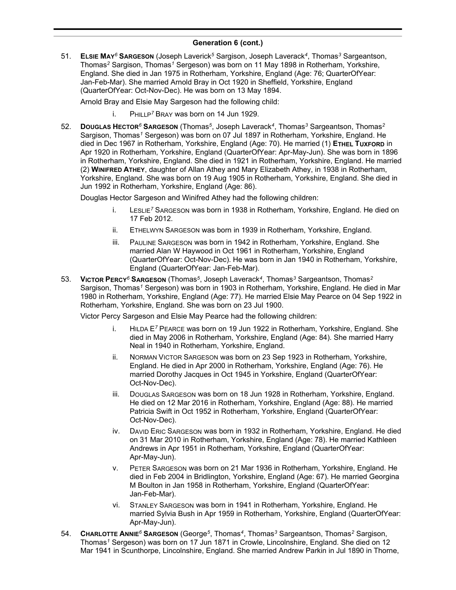51. **ELSIE MAY***<sup>6</sup>* **SARGESON** (Joseph Laverick*<sup>5</sup>* Sargison, Joseph Laverack*<sup>4</sup>* , Thomas*<sup>3</sup>* Sargeantson, Thomas*<sup>2</sup>* Sargison, Thomas*<sup>1</sup>* Sergeson) was born on 11 May 1898 in Rotherham, Yorkshire, England. She died in Jan 1975 in Rotherham, Yorkshire, England (Age: 76; QuarterOfYear: Jan-Feb-Mar). She married Arnold Bray in Oct 1920 in Sheffield, Yorkshire, England (QuarterOfYear: Oct-Nov-Dec). He was born on 13 May 1894.

Arnold Bray and Elsie May Sargeson had the following child:

- i. PHILLP*<sup>7</sup>* BRAY was born on 14 Jun 1929.
- 52. **DOUGLAS HECTOR***<sup>6</sup>* **SARGESON** (Thomas*<sup>5</sup>* , Joseph Laverack*<sup>4</sup>* , Thomas*<sup>3</sup>* Sargeantson, Thomas*<sup>2</sup>* Sargison, Thomas*<sup>1</sup>* Sergeson) was born on 07 Jul 1897 in Rotherham, Yorkshire, England. He died in Dec 1967 in Rotherham, Yorkshire, England (Age: 70). He married (1) **ETHEL TUXFORD** in Apr 1920 in Rotherham, Yorkshire, England (QuarterOfYear: Apr-May-Jun). She was born in 1896 in Rotherham, Yorkshire, England. She died in 1921 in Rotherham, Yorkshire, England. He married (2) **WINIFRED ATHEY**, daughter of Allan Athey and Mary Elizabeth Athey, in 1938 in Rotherham, Yorkshire, England. She was born on 19 Aug 1905 in Rotherham, Yorkshire, England. She died in Jun 1992 in Rotherham, Yorkshire, England (Age: 86).

Douglas Hector Sargeson and Winifred Athey had the following children:

- i. LESLIE*<sup>7</sup>* SARGESON was born in 1938 in Rotherham, Yorkshire, England. He died on 17 Feb 2012.
- ii. ETHELWYN SARGESON was born in 1939 in Rotherham, Yorkshire, England.
- iii. PAULINE SARGESON was born in 1942 in Rotherham, Yorkshire, England. She married Alan W Haywood in Oct 1961 in Rotherham, Yorkshire, England (QuarterOfYear: Oct-Nov-Dec). He was born in Jan 1940 in Rotherham, Yorkshire, England (QuarterOfYear: Jan-Feb-Mar).
- 53. **VICTOR PERCY***<sup>6</sup>* **SARGESON** (Thomas*<sup>5</sup>* , Joseph Laverack*<sup>4</sup>* , Thomas*<sup>3</sup>* Sargeantson, Thomas*<sup>2</sup>* Sargison, Thomas*<sup>1</sup>* Sergeson) was born in 1903 in Rotherham, Yorkshire, England. He died in Mar 1980 in Rotherham, Yorkshire, England (Age: 77). He married Elsie May Pearce on 04 Sep 1922 in Rotherham, Yorkshire, England. She was born on 23 Jul 1900.

Victor Percy Sargeson and Elsie May Pearce had the following children:

- i. HILDA E*<sup>7</sup>* PEARCE was born on 19 Jun 1922 in Rotherham, Yorkshire, England. She died in May 2006 in Rotherham, Yorkshire, England (Age: 84). She married Harry Neal in 1940 in Rotherham, Yorkshire, England.
- ii. NORMAN VICTOR SARGESON was born on 23 Sep 1923 in Rotherham, Yorkshire, England. He died in Apr 2000 in Rotherham, Yorkshire, England (Age: 76). He married Dorothy Jacques in Oct 1945 in Yorkshire, England (QuarterOfYear: Oct-Nov-Dec).
- iii. DOUGLAS SARGESON was born on 18 Jun 1928 in Rotherham, Yorkshire, England. He died on 12 Mar 2016 in Rotherham, Yorkshire, England (Age: 88). He married Patricia Swift in Oct 1952 in Rotherham, Yorkshire, England (QuarterOfYear: Oct-Nov-Dec).
- iv. DAVID ERIC SARGESON was born in 1932 in Rotherham, Yorkshire, England. He died on 31 Mar 2010 in Rotherham, Yorkshire, England (Age: 78). He married Kathleen Andrews in Apr 1951 in Rotherham, Yorkshire, England (QuarterOfYear: Apr-May-Jun).
- v. PETER SARGESON was born on 21 Mar 1936 in Rotherham, Yorkshire, England. He died in Feb 2004 in Bridlington, Yorkshire, England (Age: 67). He married Georgina M Boulton in Jan 1958 in Rotherham, Yorkshire, England (QuarterOfYear: Jan-Feb-Mar).
- vi. STANLEY SARGESON was born in 1941 in Rotherham, Yorkshire, England. He married Sylvia Bush in Apr 1959 in Rotherham, Yorkshire, England (QuarterOfYear: Apr-May-Jun).
- 54. **CHARLOTTE ANNIE***<sup>6</sup>* **SARGESON** (George*<sup>5</sup>* , Thomas*<sup>4</sup>* , Thomas*<sup>3</sup>* Sargeantson, Thomas*<sup>2</sup>* Sargison, Thomas*<sup>1</sup>* Sergeson) was born on 17 Jun 1871 in Crowle, Lincolnshire, England. She died on 12 Mar 1941 in Scunthorpe, Lincolnshire, England. She married Andrew Parkin in Jul 1890 in Thorne,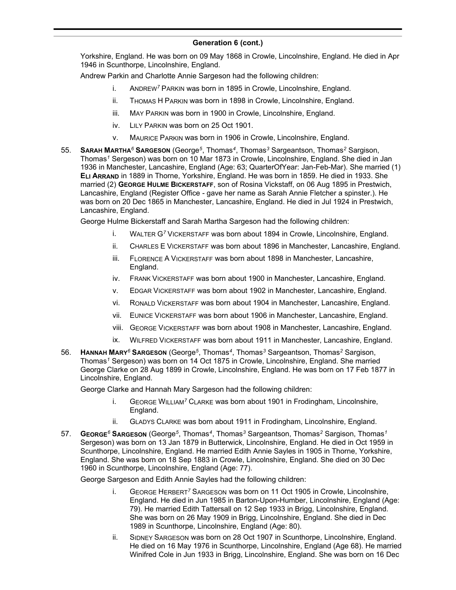Yorkshire, England. He was born on 09 May 1868 in Crowle, Lincolnshire, England. He died in Apr 1946 in Scunthorpe, Lincolnshire, England.

Andrew Parkin and Charlotte Annie Sargeson had the following children:

- i. ANDREW*<sup>7</sup>* PARKIN was born in 1895 in Crowle, Lincolnshire, England.
- ii. THOMAS H PARKIN was born in 1898 in Crowle, Lincolnshire, England.
- iii. MAY PARKIN was born in 1900 in Crowle, Lincolnshire, England.
- iv. LILY PARKIN was born on 25 Oct 1901.
- v. MAURICE PARKIN was born in 1906 in Crowle, Lincolnshire, England.
- 55. **SARAH MARTHA***<sup>6</sup>* **SARGESON** (George*<sup>5</sup>* , Thomas*<sup>4</sup>* , Thomas*<sup>3</sup>* Sargeantson, Thomas*<sup>2</sup>* Sargison, Thomas*<sup>1</sup>* Sergeson) was born on 10 Mar 1873 in Crowle, Lincolnshire, England. She died in Jan 1936 in Manchester, Lancashire, England (Age: 63; QuarterOfYear: Jan-Feb-Mar). She married (1) **ELI ARRAND** in 1889 in Thorne, Yorkshire, England. He was born in 1859. He died in 1933. She married (2) **GEORGE HULME BICKERSTAFF**, son of Rosina Vickstaff, on 06 Aug 1895 in Prestwich, Lancashire, England (Register Office - gave her name as Sarah Annie Fletcher a spinster.). He was born on 20 Dec 1865 in Manchester, Lancashire, England. He died in Jul 1924 in Prestwich, Lancashire, England.

George Hulme Bickerstaff and Sarah Martha Sargeson had the following children:

- i. WALTER G*<sup>7</sup>* VICKERSTAFF was born about 1894 in Crowle, Lincolnshire, England.
- ii. CHARLES E VICKERSTAFF was born about 1896 in Manchester, Lancashire, England.
- iii. FLORENCE A VICKERSTAFF was born about 1898 in Manchester, Lancashire, England.
- iv. FRANK VICKERSTAFF was born about 1900 in Manchester, Lancashire, England.
- v. EDGAR VICKERSTAFF was born about 1902 in Manchester, Lancashire, England.
- vi. RONALD VICKERSTAFF was born about 1904 in Manchester, Lancashire, England.
- vii. EUNICE VICKERSTAFF was born about 1906 in Manchester, Lancashire, England.
- viii. GEORGE VICKERSTAFF was born about 1908 in Manchester, Lancashire, England.
- ix. WILFRED VICKERSTAFF was born about 1911 in Manchester, Lancashire, England.
- 56. **HANNAH MARY***<sup>6</sup>* **SARGESON** (George*<sup>5</sup>* , Thomas*<sup>4</sup>* , Thomas*<sup>3</sup>* Sargeantson, Thomas*<sup>2</sup>* Sargison, Thomas*<sup>1</sup>* Sergeson) was born on 14 Oct 1875 in Crowle, Lincolnshire, England. She married George Clarke on 28 Aug 1899 in Crowle, Lincolnshire, England. He was born on 17 Feb 1877 in Lincolnshire, England.

George Clarke and Hannah Mary Sargeson had the following children:

- i. GEORGE WILLIAM*<sup>7</sup>* CLARKE was born about 1901 in Frodingham, Lincolnshire, England.
- ii. GLADYS CLARKE was born about 1911 in Frodingham, Lincolnshire, England.
- 57. **GEORGE***<sup>6</sup>* **SARGESON** (George*<sup>5</sup>* , Thomas*<sup>4</sup>* , Thomas*<sup>3</sup>* Sargeantson, Thomas*<sup>2</sup>* Sargison, Thomas*<sup>1</sup>* Sergeson) was born on 13 Jan 1879 in Butterwick, Lincolnshire, England. He died in Oct 1959 in Scunthorpe, Lincolnshire, England. He married Edith Annie Sayles in 1905 in Thorne, Yorkshire, England. She was born on 18 Sep 1883 in Crowle, Lincolnshire, England. She died on 30 Dec 1960 in Scunthorpe, Lincolnshire, England (Age: 77).

George Sargeson and Edith Annie Sayles had the following children:

- i. GEORGE HERBERT*<sup>7</sup>* SARGESON was born on 11 Oct 1905 in Crowle, Lincolnshire, England. He died in Jun 1985 in Barton-Upon-Humber, Lincolnshire, England (Age: 79). He married Edith Tattersall on 12 Sep 1933 in Brigg, Lincolnshire, England. She was born on 26 May 1909 in Brigg, Lincolnshire, England. She died in Dec 1989 in Scunthorpe, Lincolnshire, England (Age: 80).
- ii. SIDNEY SARGESON was born on 28 Oct 1907 in Scunthorpe, Lincolnshire, England. He died on 16 May 1976 in Scunthorpe, Lincolnshire, England (Age 68). He married Winifred Cole in Jun 1933 in Brigg, Lincolnshire, England. She was born on 16 Dec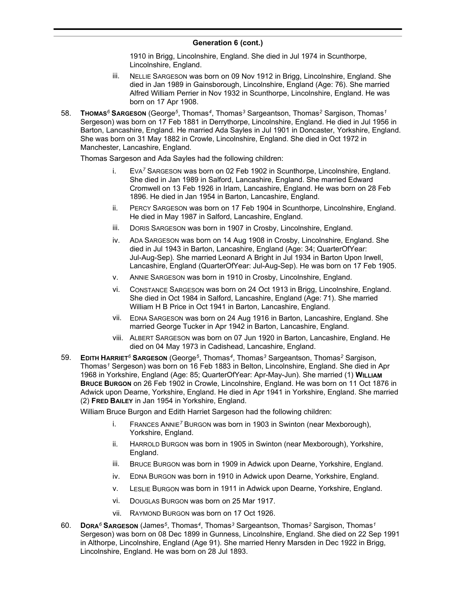1910 in Brigg, Lincolnshire, England. She died in Jul 1974 in Scunthorpe, Lincolnshire, England.

- iii. NELLIE SARGESON was born on 09 Nov 1912 in Brigg, Lincolnshire, England. She died in Jan 1989 in Gainsborough, Lincolnshire, England (Age: 76). She married Alfred William Perrier in Nov 1932 in Scunthorpe, Lincolnshire, England. He was born on 17 Apr 1908.
- 58. **THOMAS***<sup>6</sup>* **SARGESON** (George*<sup>5</sup>* , Thomas*<sup>4</sup>* , Thomas*<sup>3</sup>* Sargeantson, Thomas*<sup>2</sup>* Sargison, Thomas*<sup>1</sup>* Sergeson) was born on 17 Feb 1881 in Derrythorpe, Lincolnshire, England. He died in Jul 1956 in Barton, Lancashire, England. He married Ada Sayles in Jul 1901 in Doncaster, Yorkshire, England. She was born on 31 May 1882 in Crowle, Lincolnshire, England. She died in Oct 1972 in Manchester, Lancashire, England.

Thomas Sargeson and Ada Sayles had the following children:

- i. EVA*<sup>7</sup>* SARGESON was born on 02 Feb 1902 in Scunthorpe, Lincolnshire, England. She died in Jan 1989 in Salford, Lancashire, England. She married Edward Cromwell on 13 Feb 1926 in Irlam, Lancashire, England. He was born on 28 Feb 1896. He died in Jan 1954 in Barton, Lancashire, England.
- ii. PERCY SARGESON was born on 17 Feb 1904 in Scunthorpe, Lincolnshire, England. He died in May 1987 in Salford, Lancashire, England.
- iii. DORIS SARGESON was born in 1907 in Crosby, Lincolnshire, England.
- iv. ADA SARGESON was born on 14 Aug 1908 in Crosby, Lincolnshire, England. She died in Jul 1943 in Barton, Lancashire, England (Age: 34; QuarterOfYear: Jul-Aug-Sep). She married Leonard A Bright in Jul 1934 in Barton Upon Irwell, Lancashire, England (QuarterOfYear: Jul-Aug-Sep). He was born on 17 Feb 1905.
- v. ANNIE SARGESON was born in 1910 in Crosby, Lincolnshire, England.
- vi. CONSTANCE SARGESON was born on 24 Oct 1913 in Brigg, Lincolnshire, England. She died in Oct 1984 in Salford, Lancashire, England (Age: 71). She married William H B Price in Oct 1941 in Barton, Lancashire, England.
- vii. EDNA SARGESON was born on 24 Aug 1916 in Barton, Lancashire, England. She married George Tucker in Apr 1942 in Barton, Lancashire, England.
- viii. ALBERT SARGESON was born on 07 Jun 1920 in Barton, Lancashire, England. He died on 04 May 1973 in Cadishead, Lancashire, England.
- 59. **EDITH HARRIET***<sup>6</sup>* **SARGESON** (George*<sup>5</sup>* , Thomas*<sup>4</sup>* , Thomas*<sup>3</sup>* Sargeantson, Thomas*<sup>2</sup>* Sargison, Thomas*<sup>1</sup>* Sergeson) was born on 16 Feb 1883 in Belton, Lincolnshire, England. She died in Apr 1968 in Yorkshire, England (Age: 85; QuarterOfYear: Apr-May-Jun). She married (1) **WILLIAM BRUCE BURGON** on 26 Feb 1902 in Crowle, Lincolnshire, England. He was born on 11 Oct 1876 in Adwick upon Dearne, Yorkshire, England. He died in Apr 1941 in Yorkshire, England. She married (2) **FRED BAILEY** in Jan 1954 in Yorkshire, England.

William Bruce Burgon and Edith Harriet Sargeson had the following children:

- i. FRANCES ANNIE*<sup>7</sup>* BURGON was born in 1903 in Swinton (near Mexborough), Yorkshire, England.
- ii. HARROLD BURGON was born in 1905 in Swinton (near Mexborough), Yorkshire, England.
- iii. BRUCE BURGON was born in 1909 in Adwick upon Dearne, Yorkshire, England.
- iv. EDNA BURGON was born in 1910 in Adwick upon Dearne, Yorkshire, England.
- v. LESLIE BURGON was born in 1911 in Adwick upon Dearne, Yorkshire, England.
- vi. DOUGLAS BURGON was born on 25 Mar 1917.
- vii. RAYMOND BURGON was born on 17 Oct 1926.
- 60. **DORA***<sup>6</sup>* **SARGESON** (James*<sup>5</sup>* , Thomas*<sup>4</sup>* , Thomas*<sup>3</sup>* Sargeantson, Thomas*<sup>2</sup>* Sargison, Thomas*<sup>1</sup>* Sergeson) was born on 08 Dec 1899 in Gunness, Lincolnshire, England. She died on 22 Sep 1991 in Althorpe, Lincolnshire, England (Age 91). She married Henry Marsden in Dec 1922 in Brigg, Lincolnshire, England. He was born on 28 Jul 1893.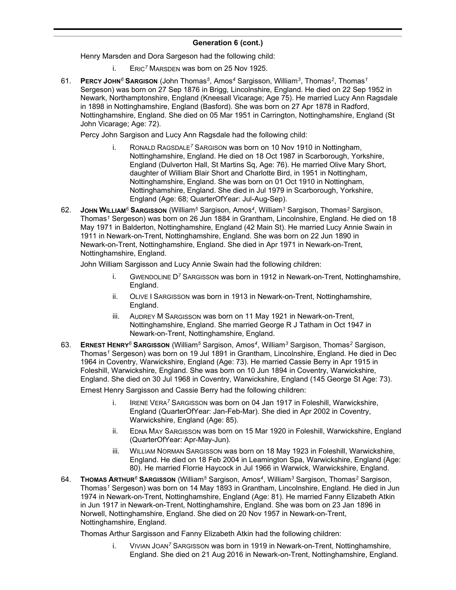Henry Marsden and Dora Sargeson had the following child:

- i. ERIC*<sup>7</sup>* MARSDEN was born on 25 Nov 1925.
- 61. **PERCY JOHN***<sup>6</sup>* **SARGISON** (John Thomas*<sup>5</sup>* , Amos*<sup>4</sup>* Sargisson, William*<sup>3</sup>* , Thomas*<sup>2</sup>* , Thomas*<sup>1</sup>* Sergeson) was born on 27 Sep 1876 in Brigg, Lincolnshire, England. He died on 22 Sep 1952 in Newark, Northamptonshire, England (Kneesall Vicarage; Age 75). He married Lucy Ann Ragsdale in 1898 in Nottinghamshire, England (Basford). She was born on 27 Apr 1878 in Radford, Nottinghamshire, England. She died on 05 Mar 1951 in Carrington, Nottinghamshire, England (St John Vicarage; Age: 72).

Percy John Sargison and Lucy Ann Ragsdale had the following child:

- i. RONALD RAGSDALE*<sup>7</sup>* SARGISON was born on 10 Nov 1910 in Nottingham, Nottinghamshire, England. He died on 18 Oct 1987 in Scarborough, Yorkshire, England (Dulverton Hall, St Martins Sq, Age: 76). He married Olive Mary Short, daughter of William Blair Short and Charlotte Bird, in 1951 in Nottingham, Nottinghamshire, England. She was born on 01 Oct 1910 in Nottingham, Nottinghamshire, England. She died in Jul 1979 in Scarborough, Yorkshire, England (Age: 68; QuarterOfYear: Jul-Aug-Sep).
- 62. **JOHN WILLIAM***<sup>6</sup>* **SARGISSON** (William*<sup>5</sup>* Sargison, Amos*<sup>4</sup>* , William*<sup>3</sup>* Sargison, Thomas*<sup>2</sup>* Sargison, Thomas*<sup>1</sup>* Sergeson) was born on 26 Jun 1884 in Grantham, Lincolnshire, England. He died on 18 May 1971 in Balderton, Nottinghamshire, England (42 Main St). He married Lucy Annie Swain in 1911 in Newark-on-Trent, Nottinghamshire, England. She was born on 22 Jun 1890 in Newark-on-Trent, Nottinghamshire, England. She died in Apr 1971 in Newark-on-Trent, Nottinghamshire, England.

John William Sargisson and Lucy Annie Swain had the following children:

- i. GWENDOLINE D*<sup>7</sup>* SARGISSON was born in 1912 in Newark-on-Trent, Nottinghamshire, England.
- ii. OLIVE I SARGISSON was born in 1913 in Newark-on-Trent, Nottinghamshire, England.
- iii. AUDREY M SARGISSON was born on 11 May 1921 in Newark-on-Trent, Nottinghamshire, England. She married George R J Tatham in Oct 1947 in Newark-on-Trent, Nottinghamshire, England.
- 63. **ERNEST HENRY***<sup>6</sup>* **SARGISSON** (William*<sup>5</sup>* Sargison, Amos*<sup>4</sup>* , William*<sup>3</sup>* Sargison, Thomas*<sup>2</sup>* Sargison, Thomas*<sup>1</sup>* Sergeson) was born on 19 Jul 1891 in Grantham, Lincolnshire, England. He died in Dec 1964 in Coventry, Warwickshire, England (Age: 73). He married Cassie Berry in Apr 1915 in Foleshill, Warwickshire, England. She was born on 10 Jun 1894 in Coventry, Warwickshire, England. She died on 30 Jul 1968 in Coventry, Warwickshire, England (145 George St Age: 73).

Ernest Henry Sargisson and Cassie Berry had the following children:

- i. IRENE VERA*<sup>7</sup>* SARGISSON was born on 04 Jan 1917 in Foleshill, Warwickshire, England (QuarterOfYear: Jan-Feb-Mar). She died in Apr 2002 in Coventry, Warwickshire, England (Age: 85).
- ii. EDNA MAY SARGISSON was born on 15 Mar 1920 in Foleshill, Warwickshire, England (QuarterOfYear: Apr-May-Jun).
- iii. WILLIAM NORMAN SARGISSON was born on 18 May 1923 in Foleshill, Warwickshire, England. He died on 18 Feb 2004 in Leamington Spa, Warwickshire, England (Age: 80). He married Florrie Haycock in Jul 1966 in Warwick, Warwickshire, England.
- 64. **THOMAS ARTHUR***<sup>6</sup>* **SARGISSON** (William*<sup>5</sup>* Sargison, Amos*<sup>4</sup>* , William*<sup>3</sup>* Sargison, Thomas*<sup>2</sup>* Sargison, Thomas*<sup>1</sup>* Sergeson) was born on 14 May 1893 in Grantham, Lincolnshire, England. He died in Jun 1974 in Newark-on-Trent, Nottinghamshire, England (Age: 81). He married Fanny Elizabeth Atkin in Jun 1917 in Newark-on-Trent, Nottinghamshire, England. She was born on 23 Jan 1896 in Norwell, Nottinghamshire, England. She died on 20 Nov 1957 in Newark-on-Trent, Nottinghamshire, England.

Thomas Arthur Sargisson and Fanny Elizabeth Atkin had the following children:

i. VIVIAN JOAN*<sup>7</sup>* SARGISSON was born in 1919 in Newark-on-Trent, Nottinghamshire, England. She died on 21 Aug 2016 in Newark-on-Trent, Nottinghamshire, England.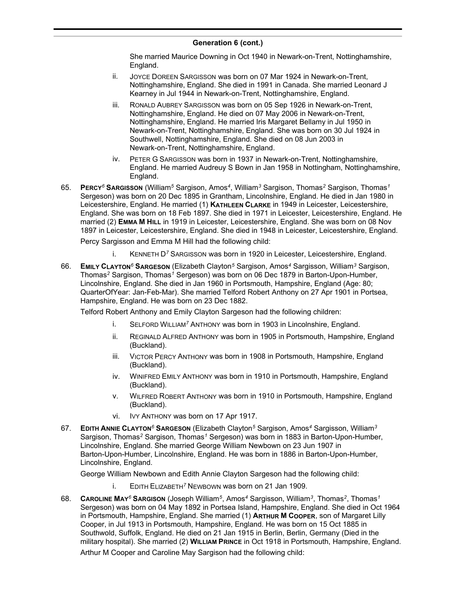She married Maurice Downing in Oct 1940 in Newark-on-Trent, Nottinghamshire, England.

- ii. JOYCE DOREEN SARGISSON was born on 07 Mar 1924 in Newark-on-Trent, Nottinghamshire, England. She died in 1991 in Canada. She married Leonard J Kearney in Jul 1944 in Newark-on-Trent, Nottinghamshire, England.
- iii. RONALD AUBREY SARGISSON was born on 05 Sep 1926 in Newark-on-Trent, Nottinghamshire, England. He died on 07 May 2006 in Newark-on-Trent, Nottinghamshire, England. He married Iris Margaret Bellamy in Jul 1950 in Newark-on-Trent, Nottinghamshire, England. She was born on 30 Jul 1924 in Southwell, Nottinghamshire, England. She died on 08 Jun 2003 in Newark-on-Trent, Nottinghamshire, England.
- iv. PETER G SARGISSON was born in 1937 in Newark-on-Trent, Nottinghamshire, England. He married Audreuy S Bown in Jan 1958 in Nottingham, Nottinghamshire, England.
- 65. **PERCY***<sup>6</sup>* **SARGISSON** (William*<sup>5</sup>* Sargison, Amos*<sup>4</sup>* , William*<sup>3</sup>* Sargison, Thomas*<sup>2</sup>* Sargison, Thomas*<sup>1</sup>* Sergeson) was born on 20 Dec 1895 in Grantham, Lincolnshire, England. He died in Jan 1980 in Leicestershire, England. He married (1) **KATHLEEN CLARKE** in 1949 in Leicester, Leicestershire, England. She was born on 18 Feb 1897. She died in 1971 in Leicester, Leicestershire, England. He married (2) **EMMA M HILL** in 1919 in Leicester, Leicestershire, England. She was born on 08 Nov 1897 in Leicester, Leicestershire, England. She died in 1948 in Leicester, Leicestershire, England.

Percy Sargisson and Emma M Hill had the following child:

- i. KENNETH D*<sup>7</sup>* SARGISSON was born in 1920 in Leicester, Leicestershire, England.
- 66. **EMILY CLAYTON***<sup>6</sup>* **SARGESON** (Elizabeth Clayton*<sup>5</sup>* Sargison, Amos*<sup>4</sup>* Sargisson, William*<sup>3</sup>* Sargison, Thomas*<sup>2</sup>* Sargison, Thomas*<sup>1</sup>* Sergeson) was born on 06 Dec 1879 in Barton-Upon-Humber, Lincolnshire, England. She died in Jan 1960 in Portsmouth, Hampshire, England (Age: 80; QuarterOfYear: Jan-Feb-Mar). She married Telford Robert Anthony on 27 Apr 1901 in Portsea, Hampshire, England. He was born on 23 Dec 1882.

Telford Robert Anthony and Emily Clayton Sargeson had the following children:

- i. SELFORD WILLIAM*<sup>7</sup>* ANTHONY was born in 1903 in Lincolnshire, England.
- ii. REGINALD ALFRED ANTHONY was born in 1905 in Portsmouth, Hampshire, England (Buckland).
- iii. VICTOR PERCY ANTHONY was born in 1908 in Portsmouth, Hampshire, England (Buckland).
- iv. WINIFRED EMILY ANTHONY was born in 1910 in Portsmouth, Hampshire, England (Buckland).
- v. WILFRED ROBERT ANTHONY was born in 1910 in Portsmouth, Hampshire, England (Buckland).
- vi. IVY ANTHONY was born on 17 Apr 1917.
- 67. **EDITH ANNIE CLAYTON***<sup>6</sup>* **SARGESON** (Elizabeth Clayton*<sup>5</sup>* Sargison, Amos*<sup>4</sup>* Sargisson, William*<sup>3</sup>* Sargison, Thomas*<sup>2</sup>* Sargison, Thomas*<sup>1</sup>* Sergeson) was born in 1883 in Barton-Upon-Humber, Lincolnshire, England. She married George William Newbown on 23 Jun 1907 in Barton-Upon-Humber, Lincolnshire, England. He was born in 1886 in Barton-Upon-Humber, Lincolnshire, England.

George William Newbown and Edith Annie Clayton Sargeson had the following child:

- i. EDITH ELIZABETH*<sup>7</sup>* NEWBOWN was born on 21 Jan 1909.
- 68. **CAROLINE MAY***<sup>6</sup>* **SARGISON** (Joseph William*<sup>5</sup>* , Amos*<sup>4</sup>* Sargisson, William*<sup>3</sup>* , Thomas*<sup>2</sup>* , Thomas*<sup>1</sup>* Sergeson) was born on 04 May 1892 in Portsea Island, Hampshire, England. She died in Oct 1964 in Portsmouth, Hampshire, England. She married (1) **ARTHUR M COOPER**, son of Margaret Lilly Cooper, in Jul 1913 in Portsmouth, Hampshire, England. He was born on 15 Oct 1885 in Southwold, Suffolk, England. He died on 21 Jan 1915 in Berlin, Berlin, Germany (Died in the military hospital). She married (2) **WILLIAM PRINCE** in Oct 1918 in Portsmouth, Hampshire, England.

Arthur M Cooper and Caroline May Sargison had the following child: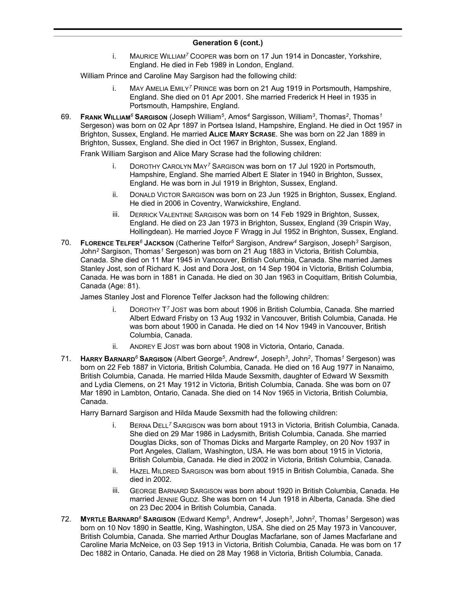i. MAURICE WILLIAM*<sup>7</sup>* COOPER was born on 17 Jun 1914 in Doncaster, Yorkshire, England. He died in Feb 1989 in London, England.

William Prince and Caroline May Sargison had the following child:

- i. MAY AMELIA EMILY*<sup>7</sup>* PRINCE was born on 21 Aug 1919 in Portsmouth, Hampshire, England. She died on 01 Apr 2001. She married Frederick H Heel in 1935 in Portsmouth, Hampshire, England.
- 69. **FRANK WILLIAM***<sup>6</sup>* **SARGISON** (Joseph William*<sup>5</sup>* , Amos*<sup>4</sup>* Sargisson, William*<sup>3</sup>* , Thomas*<sup>2</sup>* , Thomas*<sup>1</sup>* Sergeson) was born on 02 Apr 1897 in Portsea Island, Hampshire, England. He died in Oct 1957 in Brighton, Sussex, England. He married **ALICE MARY SCRASE**. She was born on 22 Jan 1889 in Brighton, Sussex, England. She died in Oct 1967 in Brighton, Sussex, England.

Frank William Sargison and Alice Mary Scrase had the following children:

- i. DOROTHY CAROLYN MAY*<sup>7</sup>* SARGISON was born on 17 Jul 1920 in Portsmouth, Hampshire, England. She married Albert E Slater in 1940 in Brighton, Sussex, England. He was born in Jul 1919 in Brighton, Sussex, England.
- ii. DONALD VICTOR SARGISON was born on 23 Jun 1925 in Brighton, Sussex, England. He died in 2006 in Coventry, Warwickshire, England.
- iii. DERRICK VALENTINE SARGISON was born on 14 Feb 1929 in Brighton, Sussex, England. He died on 23 Jan 1973 in Brighton, Sussex, England (39 Crispin Way, Hollingdean). He married Joyce F Wragg in Jul 1952 in Brighton, Sussex, England.
- 70. **FLORENCE TELFER***<sup>6</sup>* **JACKSON** (Catherine Telfor*<sup>5</sup>* Sargison, Andrew*<sup>4</sup>* Sargison, Joseph*<sup>3</sup>* Sargison, John*<sup>2</sup>* Sargison, Thomas*<sup>1</sup>* Sergeson) was born on 21 Aug 1883 in Victoria, British Columbia, Canada. She died on 11 Mar 1945 in Vancouver, British Columbia, Canada. She married James Stanley Jost, son of Richard K. Jost and Dora Jost, on 14 Sep 1904 in Victoria, British Columbia, Canada. He was born in 1881 in Canada. He died on 30 Jan 1963 in Coquitlam, British Columbia, Canada (Age: 81).

James Stanley Jost and Florence Telfer Jackson had the following children:

- i. DOROTHY T *<sup>7</sup>* JOST was born about 1906 in British Columbia, Canada. She married Albert Edward Frisby on 13 Aug 1932 in Vancouver, British Columbia, Canada. He was born about 1900 in Canada. He died on 14 Nov 1949 in Vancouver, British Columbia, Canada.
- ii. ANDREY E JOST was born about 1908 in Victoria, Ontario, Canada.
- 71. **HARRY BARNARD***<sup>6</sup>* **SARGISON** (Albert George*<sup>5</sup>* , Andrew*<sup>4</sup>* , Joseph*<sup>3</sup>* , John*<sup>2</sup>* , Thomas*<sup>1</sup>* Sergeson) was born on 22 Feb 1887 in Victoria, British Columbia, Canada. He died on 16 Aug 1977 in Nanaimo, British Columbia, Canada. He married Hilda Maude Sexsmith, daughter of Edward W Sexsmith and Lydia Clemens, on 21 May 1912 in Victoria, British Columbia, Canada. She was born on 07 Mar 1890 in Lambton, Ontario, Canada. She died on 14 Nov 1965 in Victoria, British Columbia, Canada.

Harry Barnard Sargison and Hilda Maude Sexsmith had the following children:

- i. BERNA DELL*<sup>7</sup>* SARGISON was born about 1913 in Victoria, British Columbia, Canada. She died on 29 Mar 1986 in Ladysmith, British Columbia, Canada. She married Douglas Dicks, son of Thomas Dicks and Margarte Rampley, on 20 Nov 1937 in Port Angeles, Clallam, Washington, USA. He was born about 1915 in Victoria, British Columbia, Canada. He died in 2002 in Victoria, British Columbia, Canada.
- ii. HAZEL MILDRED SARGISON was born about 1915 in British Columbia, Canada. She died in 2002.
- iii. GEORGE BARNARD SARGISON was born about 1920 in British Columbia, Canada. He married JENNIE GUDZ. She was born on 14 Jun 1918 in Alberta, Canada. She died on 23 Dec 2004 in British Columbia, Canada.
- 72. **MYRTLE BARNARD***<sup>6</sup>* **SARGISON** (Edward Kemp*<sup>5</sup>* , Andrew*<sup>4</sup>* , Joseph*<sup>3</sup>* , John*<sup>2</sup>* , Thomas*<sup>1</sup>* Sergeson) was born on 10 Nov 1890 in Seattle, King, Washington, USA. She died on 25 May 1973 in Vancouver, British Columbia, Canada. She married Arthur Douglas Macfarlane, son of James Macfarlane and Caroline Maria McNeice, on 03 Sep 1913 in Victoria, British Columbia, Canada. He was born on 17 Dec 1882 in Ontario, Canada. He died on 28 May 1968 in Victoria, British Columbia, Canada.